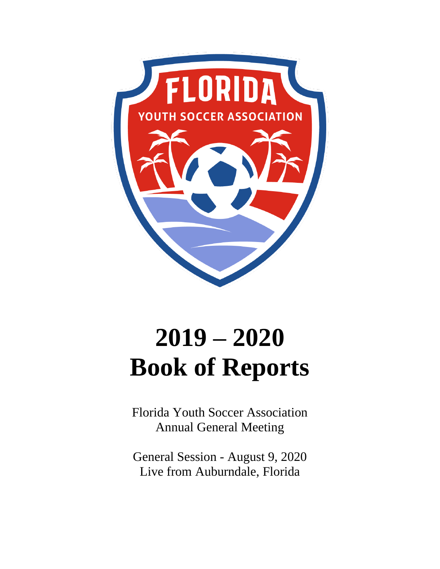

# **2019 – 2020 Book of Reports**

Florida Youth Soccer Association Annual General Meeting

General Session - August 9, 2020 Live from Auburndale, Florida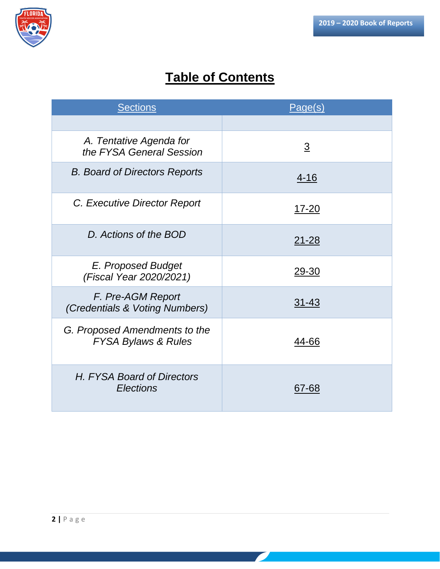

# **Table of Contents**

| <b>Sections</b>                                                 | Page(s)        |
|-----------------------------------------------------------------|----------------|
|                                                                 |                |
| A. Tentative Agenda for<br>the FYSA General Session             | $\overline{3}$ |
| <b>B.</b> Board of Directors Reports                            | $4 - 16$       |
| C. Executive Director Report                                    | <u>17-20</u>   |
| D. Actions of the BOD                                           | <u>21-28</u>   |
| E. Proposed Budget<br>(Fiscal Year 2020/2021)                   | 29-30          |
| F. Pre-AGM Report<br>(Credentials & Voting Numbers)             | $31 - 43$      |
| G. Proposed Amendments to the<br><b>FYSA Bylaws &amp; Rules</b> | 44-66          |
| H. FYSA Board of Directors<br>Elections                         | 67-68          |

 $\mathcal{L}_{\mathcal{A}}$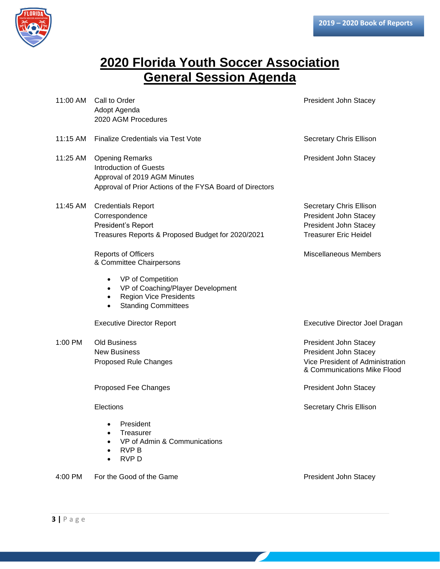

# **2020 Florida Youth Soccer Association General Session Agenda**

| 11:00 AM | Call to Order<br>Adopt Agenda<br>2020 AGM Procedures                                                                                                | President John Stacey                                                                                             |
|----------|-----------------------------------------------------------------------------------------------------------------------------------------------------|-------------------------------------------------------------------------------------------------------------------|
| 11:15 AM | Finalize Credentials via Test Vote                                                                                                                  | Secretary Chris Ellison                                                                                           |
| 11:25 AM | <b>Opening Remarks</b><br><b>Introduction of Guests</b><br>Approval of 2019 AGM Minutes<br>Approval of Prior Actions of the FYSA Board of Directors | President John Stacey                                                                                             |
| 11:45 AM | <b>Credentials Report</b><br>Correspondence<br>President's Report<br>Treasures Reports & Proposed Budget for 2020/2021                              | Secretary Chris Ellison<br>President John Stacey<br>President John Stacey<br><b>Treasurer Eric Heidel</b>         |
|          | <b>Reports of Officers</b><br>& Committee Chairpersons<br>VP of Competition                                                                         | <b>Miscellaneous Members</b>                                                                                      |
|          | VP of Coaching/Player Development<br>$\bullet$<br><b>Region Vice Presidents</b><br>$\bullet$<br><b>Standing Committees</b>                          |                                                                                                                   |
|          | <b>Executive Director Report</b>                                                                                                                    | Executive Director Joel Dragan                                                                                    |
| 1:00 PM  | <b>Old Business</b><br><b>New Business</b><br>Proposed Rule Changes                                                                                 | President John Stacey<br>President John Stacey<br>Vice President of Administration<br>& Communications Mike Flood |
|          | Proposed Fee Changes                                                                                                                                | President John Stacey                                                                                             |
|          | Elections                                                                                                                                           | Secretary Chris Ellison                                                                                           |
|          | President<br>Treasurer<br>VP of Admin & Communications<br>RVP B<br><b>RVPD</b>                                                                      |                                                                                                                   |
| 4:00 PM  | For the Good of the Game                                                                                                                            | President John Stacey                                                                                             |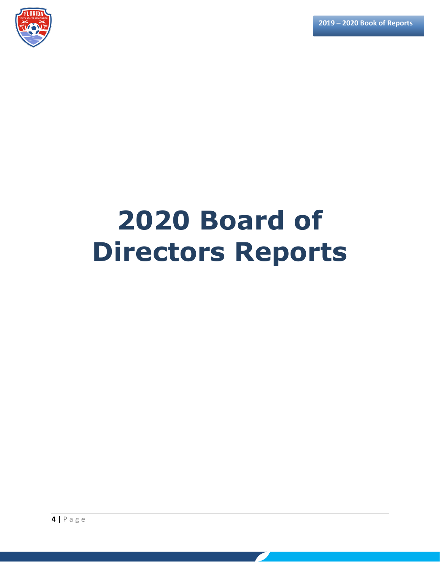

# **2020 Board of Directors Reports**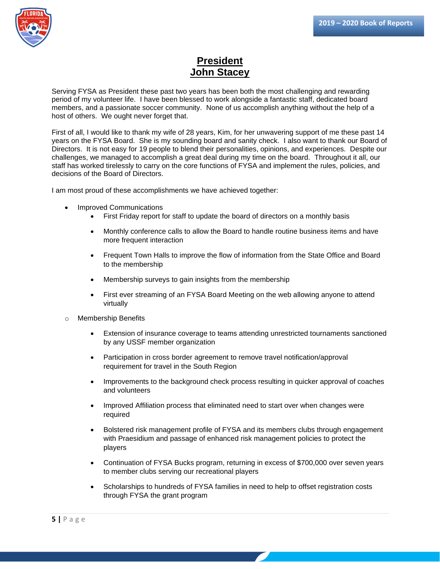

## **President John Stacey**

Serving FYSA as President these past two years has been both the most challenging and rewarding period of my volunteer life. I have been blessed to work alongside a fantastic staff, dedicated board members, and a passionate soccer community. None of us accomplish anything without the help of a host of others. We ought never forget that.

First of all, I would like to thank my wife of 28 years, Kim, for her unwavering support of me these past 14 years on the FYSA Board. She is my sounding board and sanity check. I also want to thank our Board of Directors. It is not easy for 19 people to blend their personalities, opinions, and experiences. Despite our challenges, we managed to accomplish a great deal during my time on the board. Throughout it all, our staff has worked tirelessly to carry on the core functions of FYSA and implement the rules, policies, and decisions of the Board of Directors.

I am most proud of these accomplishments we have achieved together:

- Improved Communications
	- First Friday report for staff to update the board of directors on a monthly basis
	- Monthly conference calls to allow the Board to handle routine business items and have more frequent interaction
	- Frequent Town Halls to improve the flow of information from the State Office and Board to the membership
	- Membership surveys to gain insights from the membership
	- First ever streaming of an FYSA Board Meeting on the web allowing anyone to attend virtually
- o Membership Benefits
	- Extension of insurance coverage to teams attending unrestricted tournaments sanctioned by any USSF member organization
	- Participation in cross border agreement to remove travel notification/approval requirement for travel in the South Region
	- Improvements to the background check process resulting in quicker approval of coaches and volunteers
	- Improved Affiliation process that eliminated need to start over when changes were required
	- Bolstered risk management profile of FYSA and its members clubs through engagement with Praesidium and passage of enhanced risk management policies to protect the players
	- Continuation of FYSA Bucks program, returning in excess of \$700,000 over seven years to member clubs serving our recreational players
	- Scholarships to hundreds of FYSA families in need to help to offset registration costs through FYSA the grant program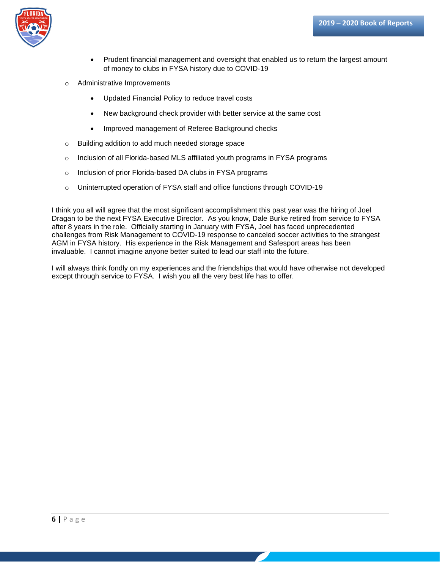

- Prudent financial management and oversight that enabled us to return the largest amount of money to clubs in FYSA history due to COVID-19
- o Administrative Improvements
	- Updated Financial Policy to reduce travel costs
	- New background check provider with better service at the same cost
	- Improved management of Referee Background checks
- o Building addition to add much needed storage space
- o Inclusion of all Florida-based MLS affiliated youth programs in FYSA programs
- o Inclusion of prior Florida-based DA clubs in FYSA programs
- o Uninterrupted operation of FYSA staff and office functions through COVID-19

I think you all will agree that the most significant accomplishment this past year was the hiring of Joel Dragan to be the next FYSA Executive Director. As you know, Dale Burke retired from service to FYSA after 8 years in the role. Officially starting in January with FYSA, Joel has faced unprecedented challenges from Risk Management to COVID-19 response to canceled soccer activities to the strangest AGM in FYSA history. His experience in the Risk Management and Safesport areas has been invaluable. I cannot imagine anyone better suited to lead our staff into the future.

I will always think fondly on my experiences and the friendships that would have otherwise not developed except through service to FYSA. I wish you all the very best life has to offer.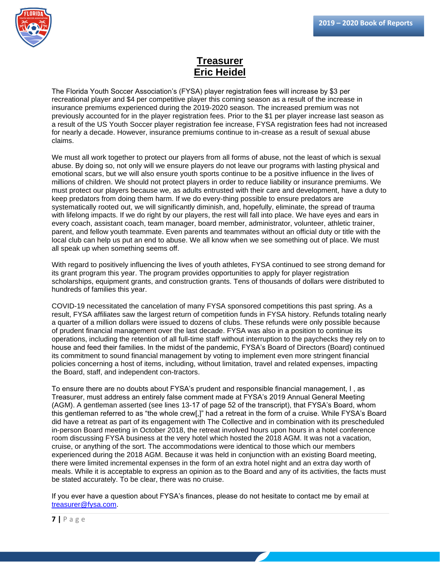

## **Treasurer Eric Heidel**

The Florida Youth Soccer Association's (FYSA) player registration fees will increase by \$3 per recreational player and \$4 per competitive player this coming season as a result of the increase in insurance premiums experienced during the 2019-2020 season. The increased premium was not previously accounted for in the player registration fees. Prior to the \$1 per player increase last season as a result of the US Youth Soccer player registration fee increase, FYSA registration fees had not increased for nearly a decade. However, insurance premiums continue to in-crease as a result of sexual abuse claims.

We must all work together to protect our players from all forms of abuse, not the least of which is sexual abuse. By doing so, not only will we ensure players do not leave our programs with lasting physical and emotional scars, but we will also ensure youth sports continue to be a positive influence in the lives of millions of children. We should not protect players in order to reduce liability or insurance premiums. We must protect our players because we, as adults entrusted with their care and development, have a duty to keep predators from doing them harm. If we do every-thing possible to ensure predators are systematically rooted out, we will significantly diminish, and, hopefully, eliminate, the spread of trauma with lifelong impacts. If we do right by our players, the rest will fall into place. We have eyes and ears in every coach, assistant coach, team manager, board member, administrator, volunteer, athletic trainer, parent, and fellow youth teammate. Even parents and teammates without an official duty or title with the local club can help us put an end to abuse. We all know when we see something out of place. We must all speak up when something seems off.

With regard to positively influencing the lives of youth athletes, FYSA continued to see strong demand for its grant program this year. The program provides opportunities to apply for player registration scholarships, equipment grants, and construction grants. Tens of thousands of dollars were distributed to hundreds of families this year.

COVID-19 necessitated the cancelation of many FYSA sponsored competitions this past spring. As a result, FYSA affiliates saw the largest return of competition funds in FYSA history. Refunds totaling nearly a quarter of a million dollars were issued to dozens of clubs. These refunds were only possible because of prudent financial management over the last decade. FYSA was also in a position to continue its operations, including the retention of all full-time staff without interruption to the paychecks they rely on to house and feed their families. In the midst of the pandemic, FYSA's Board of Directors (Board) continued its commitment to sound financial management by voting to implement even more stringent financial policies concerning a host of items, including, without limitation, travel and related expenses, impacting the Board, staff, and independent con-tractors.

To ensure there are no doubts about FYSA's prudent and responsible financial management, I , as Treasurer, must address an entirely false comment made at FYSA's 2019 Annual General Meeting (AGM). A gentleman asserted (see lines 13-17 of page 52 of the transcript), that FYSA's Board, whom this gentleman referred to as "the whole crew[,]" had a retreat in the form of a cruise. While FYSA's Board did have a retreat as part of its engagement with The Collective and in combination with its prescheduled in-person Board meeting in October 2018, the retreat involved hours upon hours in a hotel conference room discussing FYSA business at the very hotel which hosted the 2018 AGM. It was not a vacation, cruise, or anything of the sort. The accommodations were identical to those which our members experienced during the 2018 AGM. Because it was held in conjunction with an existing Board meeting, there were limited incremental expenses in the form of an extra hotel night and an extra day worth of meals. While it is acceptable to express an opinion as to the Board and any of its activities, the facts must be stated accurately. To be clear, there was no cruise.

If you ever have a question about FYSA's finances, please do not hesitate to contact me by email at [treasurer@fysa.com.](mailto:treasurer@fysa.com)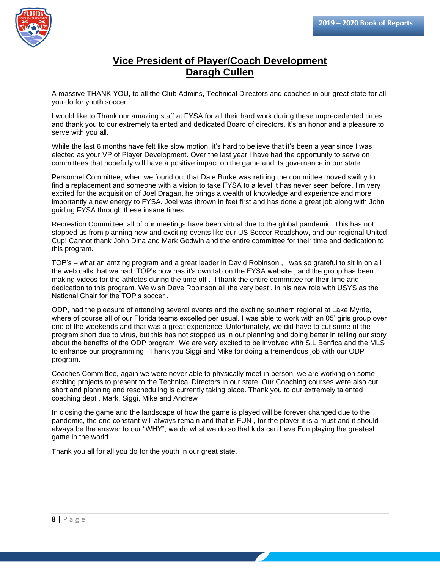

## **Vice President of Player/Coach Development Daragh Cullen**

A massive THANK YOU, to all the Club Admins, Technical Directors and coaches in our great state for all you do for youth soccer.

I would like to Thank our amazing staff at FYSA for all their hard work during these unprecedented times and thank you to our extremely talented and dedicated Board of directors, it's an honor and a pleasure to serve with you all.

While the last 6 months have felt like slow motion, it's hard to believe that it's been a year since I was elected as your VP of Player Development. Over the last year I have had the opportunity to serve on committees that hopefully will have a positive impact on the game and its governance in our state.

Personnel Committee, when we found out that Dale Burke was retiring the committee moved swiftly to find a replacement and someone with a vision to take FYSA to a level it has never seen before. I'm very excited for the acquisition of Joel Dragan, he brings a wealth of knowledge and experience and more importantly a new energy to FYSA. Joel was thrown in feet first and has done a great job along with John guiding FYSA through these insane times.

Recreation Committee, all of our meetings have been virtual due to the global pandemic. This has not stopped us from planning new and exciting events like our US Soccer Roadshow, and our regional United Cup! Cannot thank John Dina and Mark Godwin and the entire committee for their time and dedication to this program.

TOP's – what an amzing program and a great leader in David Robinson , I was so grateful to sit in on all the web calls that we had. TOP's now has it's own tab on the FYSA website , and the group has been making videos for the athletes during the time off . I thank the entire committee for their time and dedication to this program. We wish Dave Robinson all the very best , in his new role with USYS as the National Chair for the TOP's soccer .

ODP, had the pleasure of attending several events and the exciting southern regional at Lake Myrtle, where of course all of our Florida teams excelled per usual. I was able to work with an 05' girls group over one of the weekends and that was a great experience .Unfortunately, we did have to cut some of the program short due to virus, but this has not stopped us in our planning and doing better in telling our story about the benefits of the ODP program. We are very excited to be involved with S.L Benfica and the MLS to enhance our programming. Thank you Siggi and Mike for doing a tremendous job with our ODP program.

Coaches Committee, again we were never able to physically meet in person, we are working on some exciting projects to present to the Technical Directors in our state. Our Coaching courses were also cut short and planning and rescheduling is currently taking place. Thank you to our extremely talented coaching dept , Mark, Siggi, Mike and Andrew

In closing the game and the landscape of how the game is played will be forever changed due to the pandemic, the one constant will always remain and that is FUN , for the player it is a must and it should always be the answer to our "WHY", we do what we do so that kids can have Fun playing the greatest game in the world.

Thank you all for all you do for the youth in our great state.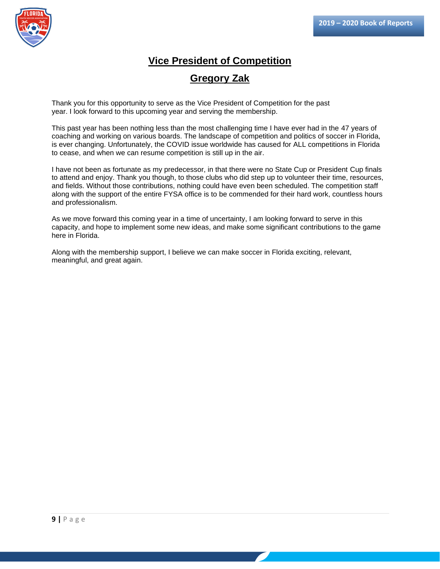

## **Vice President of Competition**

### **Gregory Zak**

Thank you for this opportunity to serve as the Vice President of Competition for the past year. I look forward to this upcoming year and serving the membership.

This past year has been nothing less than the most challenging time I have ever had in the 47 years of coaching and working on various boards. The landscape of competition and politics of soccer in Florida, is ever changing. Unfortunately, the COVID issue worldwide has caused for ALL competitions in Florida to cease, and when we can resume competition is still up in the air.

I have not been as fortunate as my predecessor, in that there were no State Cup or President Cup finals to attend and enjoy. Thank you though, to those clubs who did step up to volunteer their time, resources, and fields. Without those contributions, nothing could have even been scheduled. The competition staff along with the support of the entire FYSA office is to be commended for their hard work, countless hours and professionalism.

As we move forward this coming year in a time of uncertainty, I am looking forward to serve in this capacity, and hope to implement some new ideas, and make some significant contributions to the game here in Florida.

Along with the membership support, I believe we can make soccer in Florida exciting, relevant, meaningful, and great again.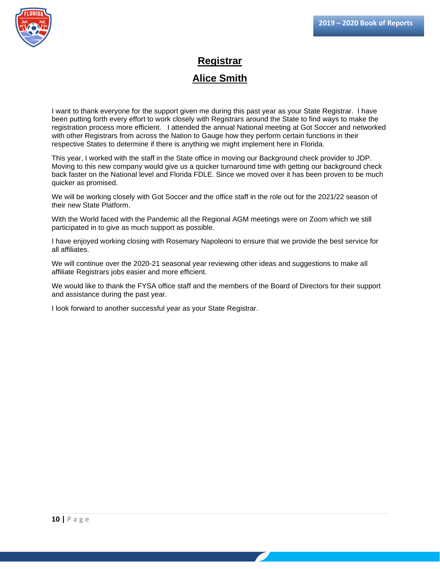

## **Registrar Alice Smith**

I want to thank everyone for the support given me during this past year as your State Registrar. I have been putting forth every effort to work closely with Registrars around the State to find ways to make the registration process more efficient. I attended the annual National meeting at Got Soccer and networked with other Registrars from across the Nation to Gauge how they perform certain functions in their respective States to determine if there is anything we might implement here in Florida.

This year, I worked with the staff in the State office in moving our Background check provider to JDP. Moving to this new company would give us a quicker turnaround time with getting our background check back faster on the National level and Florida FDLE. Since we moved over it has been proven to be much quicker as promised.

We will be working closely with Got Soccer and the office staff in the role out for the 2021/22 season of their new State Platform.

With the World faced with the Pandemic all the Regional AGM meetings were on Zoom which we still participated in to give as much support as possible.

I have enjoyed working closing with Rosemary Napoleoni to ensure that we provide the best service for all affiliates.

We will continue over the 2020-21 seasonal year reviewing other ideas and suggestions to make all affiliate Registrars jobs easier and more efficient.

We would like to thank the FYSA office staff and the members of the Board of Directors for their support and assistance during the past year.

I look forward to another successful year as your State Registrar.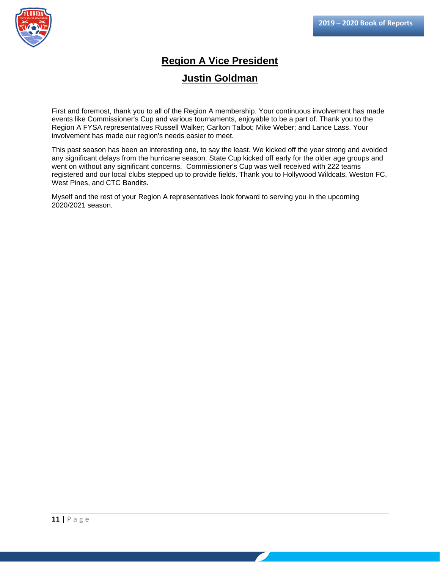

## **Region A Vice President**

### **Justin Goldman**

First and foremost, thank you to all of the Region A membership. Your continuous involvement has made events like Commissioner's Cup and various tournaments, enjoyable to be a part of. Thank you to the Region A FYSA representatives Russell Walker; Carlton Talbot; Mike Weber; and Lance Lass. Your involvement has made our region's needs easier to meet.

This past season has been an interesting one, to say the least. We kicked off the year strong and avoided any significant delays from the hurricane season. State Cup kicked off early for the older age groups and went on without any significant concerns. Commissioner's Cup was well received with 222 teams registered and our local clubs stepped up to provide fields. Thank you to Hollywood Wildcats, Weston FC, West Pines, and CTC Bandits.

Myself and the rest of your Region A representatives look forward to serving you in the upcoming 2020/2021 season.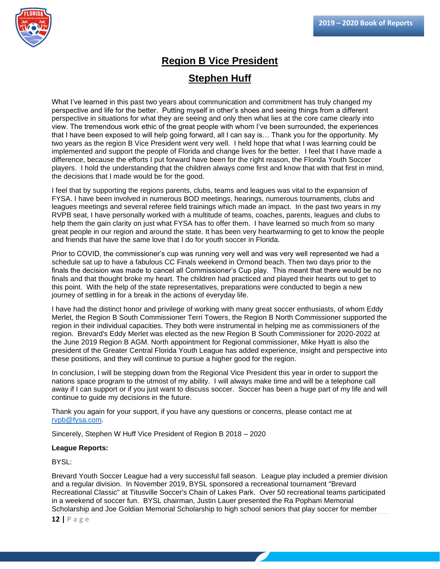

## **Region B Vice President Stephen Huff**

What I've learned in this past two years about communication and commitment has truly changed my perspective and life for the better. Putting myself in other's shoes and seeing things from a different perspective in situations for what they are seeing and only then what lies at the core came clearly into view. The tremendous work ethic of the great people with whom I've been surrounded, the experiences that I have been exposed to will help going forward, all I can say is… Thank you for the opportunity. My two years as the region B Vice President went very well. I held hope that what I was learning could be implemented and support the people of Florida and change lives for the better. I feel that I have made a difference, because the efforts I put forward have been for the right reason, the Florida Youth Soccer players. I hold the understanding that the children always come first and know that with that first in mind, the decisions that I made would be for the good.

I feel that by supporting the regions parents, clubs, teams and leagues was vital to the expansion of FYSA. I have been involved in numerous BOD meetings, hearings, numerous tournaments, clubs and leagues meetings and several referee field trainings which made an impact. In the past two years in my RVPB seat, I have personally worked with a multitude of teams, coaches, parents, leagues and clubs to help them the gain clarity on just what FYSA has to offer them. I have learned so much from so many great people in our region and around the state. It has been very heartwarming to get to know the people and friends that have the same love that I do for youth soccer in Florida.

Prior to COVID, the commissioner's cup was running very well and was very well represented we had a schedule sat up to have a fabulous CC Finals weekend in Ormond beach. Then two days prior to the finals the decision was made to cancel all Commissioner's Cup play. This meant that there would be no finals and that thought broke my heart. The children had practiced and played their hearts out to get to this point. With the help of the state representatives, preparations were conducted to begin a new journey of settling in for a break in the actions of everyday life.

I have had the distinct honor and privilege of working with many great soccer enthusiasts, of whom Eddy Merlet, the Region B South Commissioner Terri Towers, the Region B North Commissioner supported the region in their individual capacities. They both were instrumental in helping me as commissioners of the region. Brevard's Eddy Merlet was elected as the new Region B South Commissioner for 2020-2022 at the June 2019 Region B AGM. North appointment for Regional commissioner, Mike Hyatt is also the president of the Greater Central Florida Youth League has added experience, insight and perspective into these positions, and they will continue to pursue a higher good for the region.

In conclusion, I will be stepping down from the Regional Vice President this year in order to support the nations space program to the utmost of my ability. I will always make time and will be a telephone call away if I can support or if you just want to discuss soccer. Soccer has been a huge part of my life and will continue to guide my decisions in the future.

Thank you again for your support, if you have any questions or concerns, please contact me at [rvpb@fysa.com.](mailto:rvpb@fysa.com)

Sincerely, Stephen W Huff Vice President of Region B 2018 – 2020

#### **League Reports:**

BYSL:

Brevard Youth Soccer League had a very successful fall season. League play included a premier division and a regular division. In November 2019, BYSL sponsored a recreational tournament "Brevard Recreational Classic" at Titusville Soccer's Chain of Lakes Park. Over 50 recreational teams participated in a weekend of soccer fun. BYSL chairman, Justin Lauer presented the Ra Popham Memorial Scholarship and Joe Goldian Memorial Scholarship to high school seniors that play soccer for member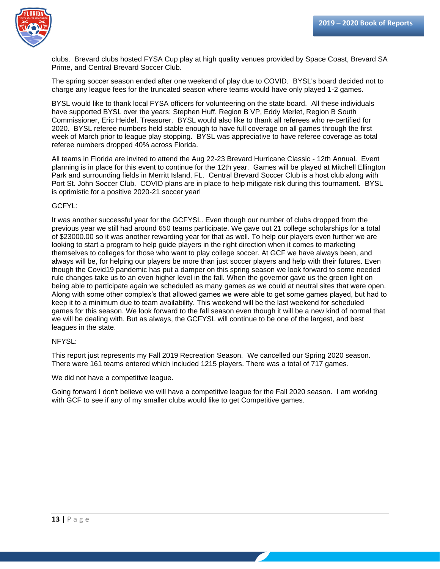

clubs. Brevard clubs hosted FYSA Cup play at high quality venues provided by Space Coast, Brevard SA Prime, and Central Brevard Soccer Club.

The spring soccer season ended after one weekend of play due to COVID. BYSL's board decided not to charge any league fees for the truncated season where teams would have only played 1-2 games.

BYSL would like to thank local FYSA officers for volunteering on the state board. All these individuals have supported BYSL over the years: Stephen Huff, Region B VP, Eddy Merlet, Region B South Commissioner, Eric Heidel, Treasurer. BYSL would also like to thank all referees who re-certified for 2020. BYSL referee numbers held stable enough to have full coverage on all games through the first week of March prior to league play stopping. BYSL was appreciative to have referee coverage as total referee numbers dropped 40% across Florida.

All teams in Florida are invited to attend the Aug 22-23 Brevard Hurricane Classic - 12th Annual. Event planning is in place for this event to continue for the 12th year. Games will be played at Mitchell Ellington Park and surrounding fields in Merritt Island, FL. Central Brevard Soccer Club is a host club along with Port St. John Soccer Club. COVID plans are in place to help mitigate risk during this tournament. BYSL is optimistic for a positive 2020-21 soccer year!

#### GCFYL:

It was another successful year for the GCFYSL. Even though our number of clubs dropped from the previous year we still had around 650 teams participate. We gave out 21 college scholarships for a total of \$23000.00 so it was another rewarding year for that as well. To help our players even further we are looking to start a program to help guide players in the right direction when it comes to marketing themselves to colleges for those who want to play college soccer. At GCF we have always been, and always will be, for helping our players be more than just soccer players and help with their futures. Even though the Covid19 pandemic has put a damper on this spring season we look forward to some needed rule changes take us to an even higher level in the fall. When the governor gave us the green light on being able to participate again we scheduled as many games as we could at neutral sites that were open. Along with some other complex's that allowed games we were able to get some games played, but had to keep it to a minimum due to team availability. This weekend will be the last weekend for scheduled games for this season. We look forward to the fall season even though it will be a new kind of normal that we will be dealing with. But as always, the GCFYSL will continue to be one of the largest, and best leagues in the state.

#### NFYSL:

This report just represents my Fall 2019 Recreation Season. We cancelled our Spring 2020 season. There were 161 teams entered which included 1215 players. There was a total of 717 games.

We did not have a competitive league.

Going forward I don't believe we will have a competitive league for the Fall 2020 season. I am working with GCF to see if any of my smaller clubs would like to get Competitive games.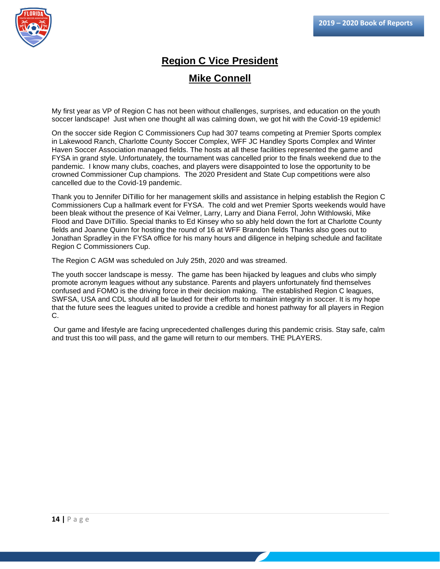

## **Region C Vice President Mike Connell**

My first year as VP of Region C has not been without challenges, surprises, and education on the youth soccer landscape! Just when one thought all was calming down, we got hit with the Covid-19 epidemic!

On the soccer side Region C Commissioners Cup had 307 teams competing at Premier Sports complex in Lakewood Ranch, Charlotte County Soccer Complex, WFF JC Handley Sports Complex and Winter Haven Soccer Association managed fields. The hosts at all these facilities represented the game and FYSA in grand style. Unfortunately, the tournament was cancelled prior to the finals weekend due to the pandemic. I know many clubs, coaches, and players were disappointed to lose the opportunity to be crowned Commissioner Cup champions. The 2020 President and State Cup competitions were also cancelled due to the Covid-19 pandemic.

Thank you to Jennifer DiTillio for her management skills and assistance in helping establish the Region C Commissioners Cup a hallmark event for FYSA. The cold and wet Premier Sports weekends would have been bleak without the presence of Kai Velmer, Larry, Larry and Diana Ferrol, John Withlowski, Mike Flood and Dave DiTillio. Special thanks to Ed Kinsey who so ably held down the fort at Charlotte County fields and Joanne Quinn for hosting the round of 16 at WFF Brandon fields Thanks also goes out to Jonathan Spradley in the FYSA office for his many hours and diligence in helping schedule and facilitate Region C Commissioners Cup.

The Region C AGM was scheduled on July 25th, 2020 and was streamed.

The youth soccer landscape is messy. The game has been hijacked by leagues and clubs who simply promote acronym leagues without any substance. Parents and players unfortunately find themselves confused and FOMO is the driving force in their decision making. The established Region C leagues, SWFSA, USA and CDL should all be lauded for their efforts to maintain integrity in soccer. It is my hope that the future sees the leagues united to provide a credible and honest pathway for all players in Region C.

Our game and lifestyle are facing unprecedented challenges during this pandemic crisis. Stay safe, calm and trust this too will pass, and the game will return to our members. THE PLAYERS.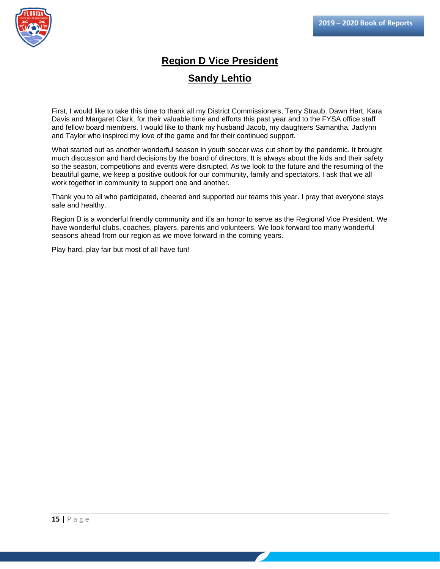

## **Region D Vice President Sandy Lehtio**

First, I would like to take this time to thank all my District Commissioners, Terry Straub, Dawn Hart, Kara Davis and Margaret Clark, for their valuable time and efforts this past year and to the FYSA office staff and fellow board members. I would like to thank my husband Jacob, my daughters Samantha, Jaclynn and Taylor who inspired my love of the game and for their continued support.

What started out as another wonderful season in youth soccer was cut short by the pandemic. It brought much discussion and hard decisions by the board of directors. It is always about the kids and their safety so the season, competitions and events were disrupted. As we look to the future and the resuming of the beautiful game, we keep a positive outlook for our community, family and spectators. I ask that we all work together in community to support one and another.

Thank you to all who participated, cheered and supported our teams this year. I pray that everyone stays safe and healthy.

Region D is a wonderful friendly community and it's an honor to serve as the Regional Vice President. We have wonderful clubs, coaches, players, parents and volunteers. We look forward too many wonderful seasons ahead from our region as we move forward in the coming years.

Play hard, play fair but most of all have fun!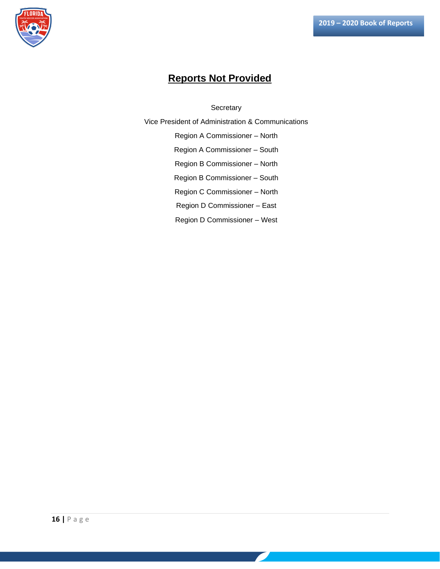

## **Reports Not Provided**

**Secretary** 

Vice President of Administration & Communications

Region A Commissioner – North

Region A Commissioner – South

Region B Commissioner – North

Region B Commissioner – South

Region C Commissioner – North

Region D Commissioner – East

Region D Commissioner – West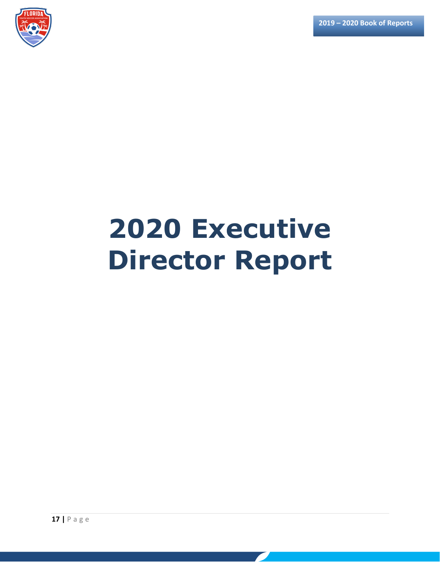

# **2020 Executive Director Report**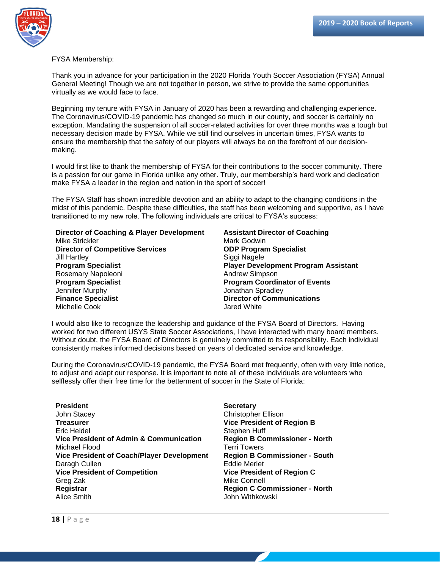

FYSA Membership:

Thank you in advance for your participation in the 2020 Florida Youth Soccer Association (FYSA) Annual General Meeting! Though we are not together in person, we strive to provide the same opportunities virtually as we would face to face.

Beginning my tenure with FYSA in January of 2020 has been a rewarding and challenging experience. The Coronavirus/COVID-19 pandemic has changed so much in our county, and soccer is certainly no exception. Mandating the suspension of all soccer-related activities for over three months was a tough but necessary decision made by FYSA. While we still find ourselves in uncertain times, FYSA wants to ensure the membership that the safety of our players will always be on the forefront of our decisionmaking.

I would first like to thank the membership of FYSA for their contributions to the soccer community. There is a passion for our game in Florida unlike any other. Truly, our membership's hard work and dedication make FYSA a leader in the region and nation in the sport of soccer!

The FYSA Staff has shown incredible devotion and an ability to adapt to the changing conditions in the midst of this pandemic. Despite these difficulties, the staff has been welcoming and supportive, as I have transitioned to my new role. The following individuals are critical to FYSA's success:

**Director of Coaching & Player Development** Mike Strickler **Director of Competitive Services** Jill Hartley **Program Specialist** Rosemary Napoleoni **Program Specialist** Jennifer Murphy **Finance Specialist** Michelle Cook

**Assistant Director of Coaching** Mark Godwin **ODP Program Specialist** Siggi Nagele **Player Development Program Assistant** Andrew Simpson **Program Coordinator of Events** Jonathan Spradley **Director of Communications** Jared White

I would also like to recognize the leadership and guidance of the FYSA Board of Directors. Having worked for two different USYS State Soccer Associations, I have interacted with many board members. Without doubt, the FYSA Board of Directors is genuinely committed to its responsibility. Each individual consistently makes informed decisions based on years of dedicated service and knowledge.

During the Coronavirus/COVID-19 pandemic, the FYSA Board met frequently, often with very little notice, to adjust and adapt our response. It is important to note all of these individuals are volunteers who selflessly offer their free time for the betterment of soccer in the State of Florida:

**President** John Stacey **Treasurer** Eric Heidel **Vice President of Admin & Communication** Michael Flood **Vice President of Coach/Player Development** Daragh Cullen **Vice President of Competition** Greg Zak **Registrar** Alice Smith

**Secretary** Christopher Ellison **Vice President of Region B** Stephen Huff **Region B Commissioner - North** Terri Towers **Region B Commissioner - South** Eddie Merlet **Vice President of Region C** Mike Connell **Region C Commissioner - North** John Withkowski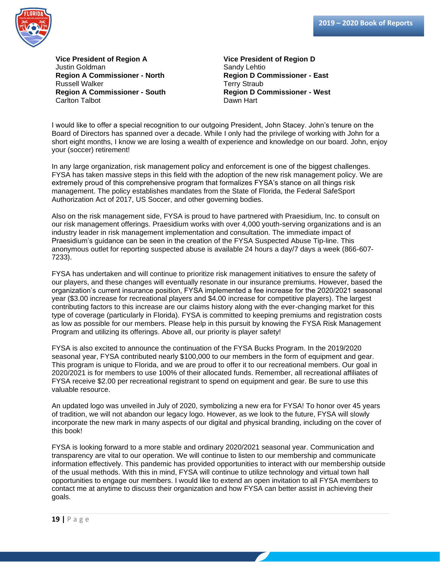

**Vice President of Region A** Justin Goldman **Region A Commissioner - North** Russell Walker **Region A Commissioner - South** Carlton Talbot

**Vice President of Region D** Sandy Lehtio **Region D Commissioner - East** Terry Straub **Region D Commissioner - West** Dawn Hart

I would like to offer a special recognition to our outgoing President, John Stacey. John's tenure on the Board of Directors has spanned over a decade. While I only had the privilege of working with John for a short eight months, I know we are losing a wealth of experience and knowledge on our board. John, enjoy your (soccer) retirement!

In any large organization, risk management policy and enforcement is one of the biggest challenges. FYSA has taken massive steps in this field with the adoption of the new risk management policy. We are extremely proud of this comprehensive program that formalizes FYSA's stance on all things risk management. The policy establishes mandates from the State of Florida, the Federal SafeSport Authorization Act of 2017, US Soccer, and other governing bodies.

Also on the risk management side, FYSA is proud to have partnered with Praesidium, Inc. to consult on our risk management offerings. Praesidium works with over 4,000 youth-serving organizations and is an industry leader in risk management implementation and consultation. The immediate impact of Praesidium's guidance can be seen in the creation of the FYSA Suspected Abuse Tip-line. This anonymous outlet for reporting suspected abuse is available 24 hours a day/7 days a week (866-607- 7233).

FYSA has undertaken and will continue to prioritize risk management initiatives to ensure the safety of our players, and these changes will eventually resonate in our insurance premiums. However, based the organization's current insurance position, FYSA implemented a fee increase for the 2020/2021 seasonal year (\$3.00 increase for recreational players and \$4.00 increase for competitive players). The largest contributing factors to this increase are our claims history along with the ever-changing market for this type of coverage (particularly in Florida). FYSA is committed to keeping premiums and registration costs as low as possible for our members. Please help in this pursuit by knowing the FYSA Risk Management Program and utilizing its offerings. Above all, our priority is player safety!

FYSA is also excited to announce the continuation of the FYSA Bucks Program. In the 2019/2020 seasonal year, FYSA contributed nearly \$100,000 to our members in the form of equipment and gear. This program is unique to Florida, and we are proud to offer it to our recreational members. Our goal in 2020/2021 is for members to use 100% of their allocated funds. Remember, all recreational affiliates of FYSA receive \$2.00 per recreational registrant to spend on equipment and gear. Be sure to use this valuable resource.

An updated logo was unveiled in July of 2020, symbolizing a new era for FYSA! To honor over 45 years of tradition, we will not abandon our legacy logo. However, as we look to the future, FYSA will slowly incorporate the new mark in many aspects of our digital and physical branding, including on the cover of this book!

FYSA is looking forward to a more stable and ordinary 2020/2021 seasonal year. Communication and transparency are vital to our operation. We will continue to listen to our membership and communicate information effectively. This pandemic has provided opportunities to interact with our membership outside of the usual methods. With this in mind, FYSA will continue to utilize technology and virtual town hall opportunities to engage our members. I would like to extend an open invitation to all FYSA members to contact me at anytime to discuss their organization and how FYSA can better assist in achieving their goals.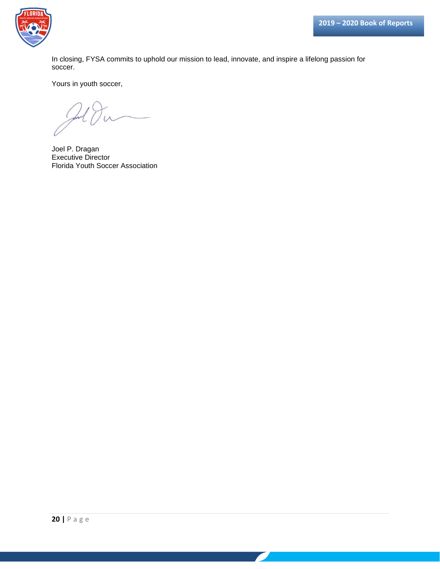

In closing, FYSA commits to uphold our mission to lead, innovate, and inspire a lifelong passion for soccer.

Yours in youth soccer,

Joel P. Dragan Executive Director Florida Youth Soccer Association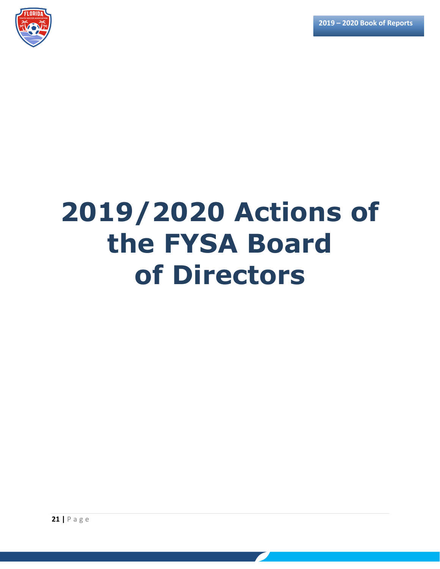

# **2019/2020 Actions of the FYSA Board of Directors**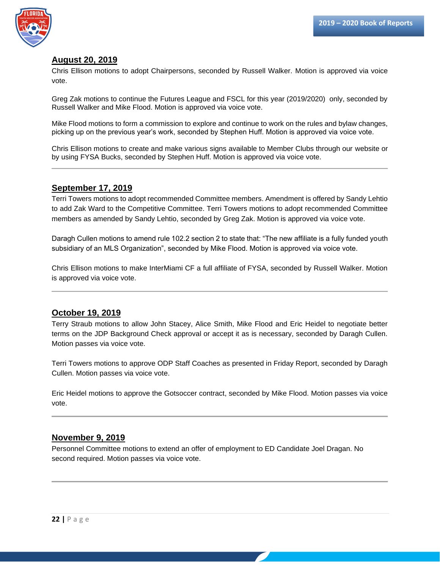

#### **August 20, 2019**

Chris Ellison motions to adopt Chairpersons, seconded by Russell Walker. Motion is approved via voice vote.

Greg Zak motions to continue the Futures League and FSCL for this year (2019/2020) only, seconded by Russell Walker and Mike Flood. Motion is approved via voice vote.

Mike Flood motions to form a commission to explore and continue to work on the rules and bylaw changes, picking up on the previous year's work, seconded by Stephen Huff. Motion is approved via voice vote.

Chris Ellison motions to create and make various signs available to Member Clubs through our website or by using FYSA Bucks, seconded by Stephen Huff. Motion is approved via voice vote.

#### **September 17, 2019**

Terri Towers motions to adopt recommended Committee members. Amendment is offered by Sandy Lehtio to add Zak Ward to the Competitive Committee. Terri Towers motions to adopt recommended Committee members as amended by Sandy Lehtio, seconded by Greg Zak. Motion is approved via voice vote.

Daragh Cullen motions to amend rule 102.2 section 2 to state that: "The new affiliate is a fully funded youth subsidiary of an MLS Organization", seconded by Mike Flood. Motion is approved via voice vote.

Chris Ellison motions to make InterMiami CF a full affiliate of FYSA, seconded by Russell Walker. Motion is approved via voice vote.

#### **October 19, 2019**

Terry Straub motions to allow John Stacey, Alice Smith, Mike Flood and Eric Heidel to negotiate better terms on the JDP Background Check approval or accept it as is necessary, seconded by Daragh Cullen. Motion passes via voice vote.

Terri Towers motions to approve ODP Staff Coaches as presented in Friday Report, seconded by Daragh Cullen. Motion passes via voice vote.

Eric Heidel motions to approve the Gotsoccer contract, seconded by Mike Flood. Motion passes via voice vote.

#### **November 9, 2019**

Personnel Committee motions to extend an offer of employment to ED Candidate Joel Dragan. No second required. Motion passes via voice vote.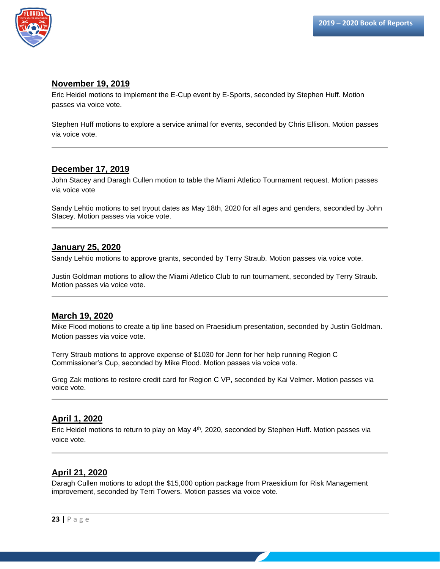

#### **November 19, 2019**

Eric Heidel motions to implement the E-Cup event by E-Sports, seconded by Stephen Huff. Motion passes via voice vote.

Stephen Huff motions to explore a service animal for events, seconded by Chris Ellison. Motion passes via voice vote.

#### **December 17, 2019**

John Stacey and Daragh Cullen motion to table the Miami Atletico Tournament request. Motion passes via voice vote

Sandy Lehtio motions to set tryout dates as May 18th, 2020 for all ages and genders, seconded by John Stacey. Motion passes via voice vote.

#### **January 25, 2020**

Sandy Lehtio motions to approve grants, seconded by Terry Straub. Motion passes via voice vote.

Justin Goldman motions to allow the Miami Atletico Club to run tournament, seconded by Terry Straub. Motion passes via voice vote.

#### **March 19, 2020**

Mike Flood motions to create a tip line based on Praesidium presentation, seconded by Justin Goldman. Motion passes via voice vote.

Terry Straub motions to approve expense of \$1030 for Jenn for her help running Region C Commissioner's Cup, seconded by Mike Flood. Motion passes via voice vote.

Greg Zak motions to restore credit card for Region C VP, seconded by Kai Velmer. Motion passes via voice vote.

#### **April 1, 2020**

Eric Heidel motions to return to play on May 4<sup>th</sup>, 2020, seconded by Stephen Huff. Motion passes via voice vote.

#### **April 21, 2020**

Daragh Cullen motions to adopt the \$15,000 option package from Praesidium for Risk Management improvement, seconded by Terri Towers. Motion passes via voice vote.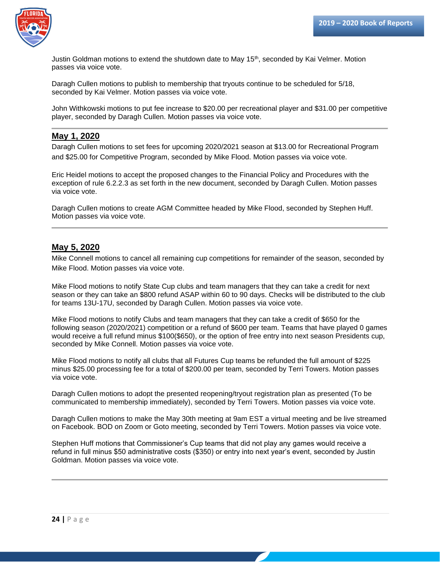

Justin Goldman motions to extend the shutdown date to May 15<sup>th</sup>, seconded by Kai Velmer. Motion passes via voice vote.

Daragh Cullen motions to publish to membership that tryouts continue to be scheduled for 5/18, seconded by Kai Velmer. Motion passes via voice vote.

John Withkowski motions to put fee increase to \$20.00 per recreational player and \$31.00 per competitive player, seconded by Daragh Cullen. Motion passes via voice vote.

#### **May 1, 2020**

Daragh Cullen motions to set fees for upcoming 2020/2021 season at \$13.00 for Recreational Program and \$25.00 for Competitive Program, seconded by Mike Flood. Motion passes via voice vote.

Eric Heidel motions to accept the proposed changes to the Financial Policy and Procedures with the exception of rule 6.2.2.3 as set forth in the new document, seconded by Daragh Cullen. Motion passes via voice vote.

Daragh Cullen motions to create AGM Committee headed by Mike Flood, seconded by Stephen Huff. Motion passes via voice vote.

#### **May 5, 2020**

Mike Connell motions to cancel all remaining cup competitions for remainder of the season, seconded by Mike Flood. Motion passes via voice vote.

Mike Flood motions to notify State Cup clubs and team managers that they can take a credit for next season or they can take an \$800 refund ASAP within 60 to 90 days. Checks will be distributed to the club for teams 13U-17U, seconded by Daragh Cullen. Motion passes via voice vote.

Mike Flood motions to notify Clubs and team managers that they can take a credit of \$650 for the following season (2020/2021) competition or a refund of \$600 per team. Teams that have played 0 games would receive a full refund minus \$100(\$650), or the option of free entry into next season Presidents cup, seconded by Mike Connell. Motion passes via voice vote.

Mike Flood motions to notify all clubs that all Futures Cup teams be refunded the full amount of \$225 minus \$25.00 processing fee for a total of \$200.00 per team, seconded by Terri Towers. Motion passes via voice vote.

Daragh Cullen motions to adopt the presented reopening/tryout registration plan as presented (To be communicated to membership immediately), seconded by Terri Towers. Motion passes via voice vote.

Daragh Cullen motions to make the May 30th meeting at 9am EST a virtual meeting and be live streamed on Facebook. BOD on Zoom or Goto meeting, seconded by Terri Towers. Motion passes via voice vote.

Stephen Huff motions that Commissioner's Cup teams that did not play any games would receive a refund in full minus \$50 administrative costs (\$350) or entry into next year's event, seconded by Justin Goldman. Motion passes via voice vote.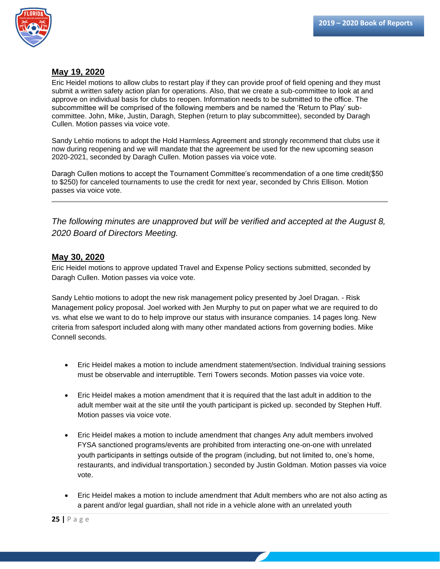

#### **May 19, 2020**

Eric Heidel motions to allow clubs to restart play if they can provide proof of field opening and they must submit a written safety action plan for operations. Also, that we create a sub-committee to look at and approve on individual basis for clubs to reopen. Information needs to be submitted to the office. The subcommittee will be comprised of the following members and be named the 'Return to Play' subcommittee. John, Mike, Justin, Daragh, Stephen (return to play subcommittee), seconded by Daragh Cullen. Motion passes via voice vote.

Sandy Lehtio motions to adopt the Hold Harmless Agreement and strongly recommend that clubs use it now during reopening and we will mandate that the agreement be used for the new upcoming season 2020-2021, seconded by Daragh Cullen. Motion passes via voice vote.

Daragh Cullen motions to accept the Tournament Committee's recommendation of a one time credit(\$50 to \$250) for canceled tournaments to use the credit for next year, seconded by Chris Ellison. Motion passes via voice vote.

*The following minutes are unapproved but will be verified and accepted at the August 8, 2020 Board of Directors Meeting.*

#### **May 30, 2020**

Eric Heidel motions to approve updated Travel and Expense Policy sections submitted, seconded by Daragh Cullen. Motion passes via voice vote.

Sandy Lehtio motions to adopt the new risk management policy presented by Joel Dragan. - Risk Management policy proposal. Joel worked with Jen Murphy to put on paper what we are required to do vs. what else we want to do to help improve our status with insurance companies. 14 pages long. New criteria from safesport included along with many other mandated actions from governing bodies. Mike Connell seconds.

- Eric Heidel makes a motion to include amendment statement/section. Individual training sessions must be observable and interruptible. Terri Towers seconds. Motion passes via voice vote.
- Eric Heidel makes a motion amendment that it is required that the last adult in addition to the adult member wait at the site until the youth participant is picked up. seconded by Stephen Huff. Motion passes via voice vote.
- Eric Heidel makes a motion to include amendment that changes Any adult members involved FYSA sanctioned programs/events are prohibited from interacting one-on-one with unrelated youth participants in settings outside of the program (including, but not limited to, one's home, restaurants, and individual transportation.) seconded by Justin Goldman. Motion passes via voice vote.
- Eric Heidel makes a motion to include amendment that Adult members who are not also acting as a parent and/or legal guardian, shall not ride in a vehicle alone with an unrelated youth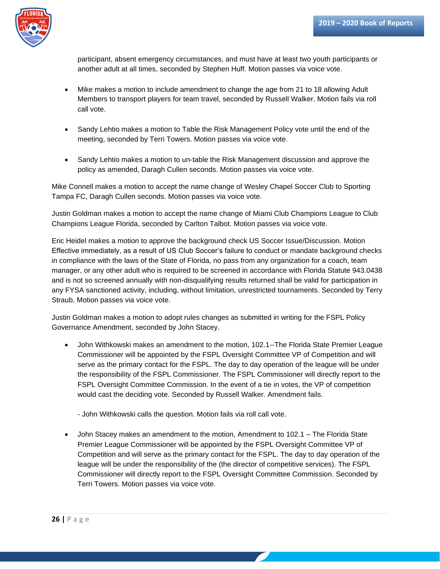

participant, absent emergency circumstances, and must have at least two youth participants or another adult at all times, seconded by Stephen Huff. Motion passes via voice vote.

- Mike makes a motion to include amendment to change the age from 21 to 18 allowing Adult Members to transport players for team travel, seconded by Russell Walker. Motion fails via roll call vote.
- Sandy Lehtio makes a motion to Table the Risk Management Policy vote until the end of the meeting, seconded by Terri Towers. Motion passes via voice vote.
- Sandy Lehtio makes a motion to un-table the Risk Management discussion and approve the policy as amended, Daragh Cullen seconds. Motion passes via voice vote.

Mike Connell makes a motion to accept the name change of Wesley Chapel Soccer Club to Sporting Tampa FC, Daragh Cullen seconds. Motion passes via voice vote.

Justin Goldman makes a motion to accept the name change of Miami Club Champions League to Club Champions League Florida, seconded by Carlton Talbot. Motion passes via voice vote.

Eric Heidel makes a motion to approve the background check US Soccer Issue/Discussion. Motion Effective immediately, as a result of US Club Soccer's failure to conduct or mandate background checks in compliance with the laws of the State of Florida, no pass from any organization for a coach, team manager, or any other adult who is required to be screened in accordance with Florida Statute 943.0438 and is not so screened annually with non-disqualifying results returned shall be valid for participation in any FYSA sanctioned activity, including, without limitation, unrestricted tournaments. Seconded by Terry Straub. Motion passes via voice vote.

Justin Goldman makes a motion to adopt rules changes as submitted in writing for the FSPL Policy Governance Amendment, seconded by John Stacey.

- John Withkowski makes an amendment to the motion, 102.1--The Florida State Premier League Commissioner will be appointed by the FSPL Oversight Committee VP of Competition and will serve as the primary contact for the FSPL. The day to day operation of the league will be under the responsibility of the FSPL Commissioner. The FSPL Commissioner will directly report to the FSPL Oversight Committee Commission. In the event of a tie in votes, the VP of competition would cast the deciding vote. Seconded by Russell Walker. Amendment fails.
	- John Withkowski calls the question. Motion fails via roll call vote.
- John Stacey makes an amendment to the motion, Amendment to 102.1 The Florida State Premier League Commissioner will be appointed by the FSPL Oversight Committee VP of Competition and will serve as the primary contact for the FSPL. The day to day operation of the league will be under the responsibility of the (the director of competitive services). The FSPL Commissioner will directly report to the FSPL Oversight Committee Commission. Seconded by Terri Towers. Motion passes via voice vote.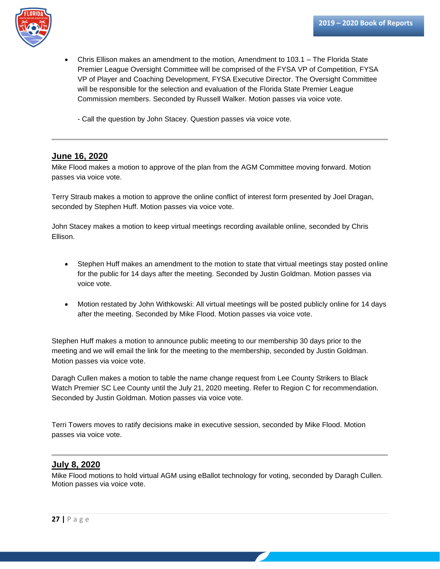

- Chris Ellison makes an amendment to the motion, Amendment to 103.1 The Florida State Premier League Oversight Committee will be comprised of the FYSA VP of Competition, FYSA VP of Player and Coaching Development, FYSA Executive Director. The Oversight Committee will be responsible for the selection and evaluation of the Florida State Premier League Commission members. Seconded by Russell Walker. Motion passes via voice vote.
	- Call the question by John Stacey. Question passes via voice vote.

#### **June 16, 2020**

Mike Flood makes a motion to approve of the plan from the AGM Committee moving forward. Motion passes via voice vote.

Terry Straub makes a motion to approve the online conflict of interest form presented by Joel Dragan, seconded by Stephen Huff. Motion passes via voice vote.

John Stacey makes a motion to keep virtual meetings recording available online, seconded by Chris Ellison.

- Stephen Huff makes an amendment to the motion to state that virtual meetings stay posted online for the public for 14 days after the meeting. Seconded by Justin Goldman. Motion passes via voice vote.
- Motion restated by John Withkowski: All virtual meetings will be posted publicly online for 14 days after the meeting. Seconded by Mike Flood. Motion passes via voice vote.

Stephen Huff makes a motion to announce public meeting to our membership 30 days prior to the meeting and we will email the link for the meeting to the membership, seconded by Justin Goldman. Motion passes via voice vote.

Daragh Cullen makes a motion to table the name change request from Lee County Strikers to Black Watch Premier SC Lee County until the July 21, 2020 meeting. Refer to Region C for recommendation. Seconded by Justin Goldman. Motion passes via voice vote.

Terri Towers moves to ratify decisions make in executive session, seconded by Mike Flood. Motion passes via voice vote.

#### **July 8, 2020**

Mike Flood motions to hold virtual AGM using eBallot technology for voting, seconded by Daragh Cullen. Motion passes via voice vote.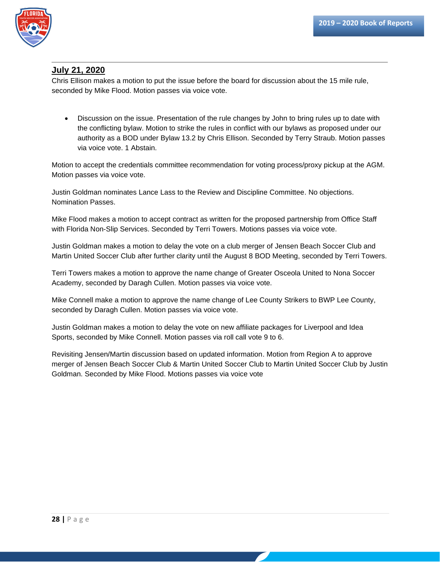

### **July 21, 2020**

Chris Ellison makes a motion to put the issue before the board for discussion about the 15 mile rule, seconded by Mike Flood. Motion passes via voice vote.

• Discussion on the issue. Presentation of the rule changes by John to bring rules up to date with the conflicting bylaw. Motion to strike the rules in conflict with our bylaws as proposed under our authority as a BOD under Bylaw 13.2 by Chris Ellison. Seconded by Terry Straub. Motion passes via voice vote. 1 Abstain.

Motion to accept the credentials committee recommendation for voting process/proxy pickup at the AGM. Motion passes via voice vote.

Justin Goldman nominates Lance Lass to the Review and Discipline Committee. No objections. Nomination Passes.

Mike Flood makes a motion to accept contract as written for the proposed partnership from Office Staff with Florida Non-Slip Services. Seconded by Terri Towers. Motions passes via voice vote.

Justin Goldman makes a motion to delay the vote on a club merger of Jensen Beach Soccer Club and Martin United Soccer Club after further clarity until the August 8 BOD Meeting, seconded by Terri Towers.

Terri Towers makes a motion to approve the name change of Greater Osceola United to Nona Soccer Academy, seconded by Daragh Cullen. Motion passes via voice vote.

Mike Connell make a motion to approve the name change of Lee County Strikers to BWP Lee County, seconded by Daragh Cullen. Motion passes via voice vote.

Justin Goldman makes a motion to delay the vote on new affiliate packages for Liverpool and Idea Sports, seconded by Mike Connell. Motion passes via roll call vote 9 to 6.

Revisiting Jensen/Martin discussion based on updated information. Motion from Region A to approve merger of Jensen Beach Soccer Club & Martin United Soccer Club to Martin United Soccer Club by Justin Goldman. Seconded by Mike Flood. Motions passes via voice vote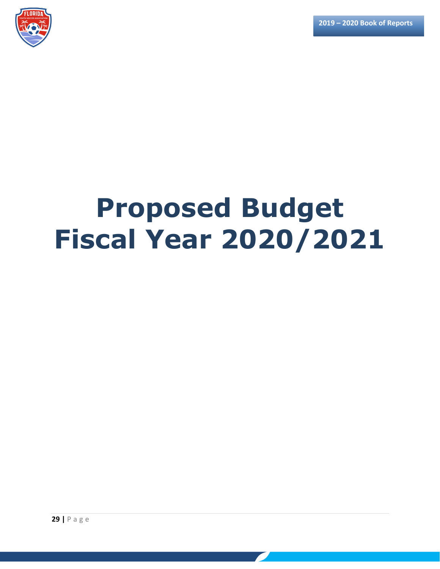

# **Proposed Budget Fiscal Year 2020/2021**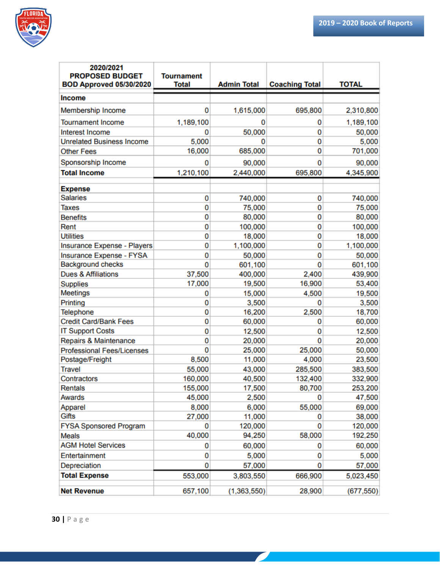

| 2020/2021<br><b>PROPOSED BUDGET</b><br><b>BOD Approved 05/30/2020</b> | <b>Tournament</b><br><b>Total</b> | <b>Admin Total</b> | <b>Coaching Total</b> | <b>TOTAL</b> |
|-----------------------------------------------------------------------|-----------------------------------|--------------------|-----------------------|--------------|
| <b>Income</b>                                                         |                                   |                    |                       |              |
| Membership Income                                                     | 0                                 | 1,615,000          | 695,800               | 2,310,800    |
| <b>Tournament Income</b>                                              | 1,189,100                         | 0                  | 0                     | 1,189,100    |
| <b>Interest Income</b>                                                | 0                                 | 50,000             | 0                     | 50,000       |
| <b>Unrelated Business Income</b>                                      | 5,000                             | 0                  | 0                     | 5,000        |
| <b>Other Fees</b>                                                     | 16,000                            | 685,000            | 0                     | 701,000      |
| Sponsorship Income                                                    | 0                                 | 90,000             | 0                     | 90,000       |
| <b>Total Income</b>                                                   | 1,210,100                         | 2,440,000          | 695,800               | 4,345,900    |
| <b>Expense</b>                                                        |                                   |                    |                       |              |
| <b>Salaries</b>                                                       | 0                                 | 740,000            | 0                     | 740,000      |
| Taxes                                                                 | 0                                 | 75,000             | 0                     | 75,000       |
| <b>Benefits</b>                                                       | 0                                 | 80,000             | 0                     | 80,000       |
| Rent                                                                  | 0                                 | 100,000            | 0                     | 100,000      |
| <b>Utilities</b>                                                      | 0                                 | 18,000             | 0                     | 18,000       |
| Insurance Expense - Players                                           | 0                                 | 1,100,000          | 0                     | 1,100,000    |
| Insurance Expense - FYSA                                              | 0                                 | 50,000             | 0                     | 50,000       |
| <b>Background checks</b>                                              | 0                                 | 601,100            | 0                     | 601,100      |
| <b>Dues &amp; Affiliations</b>                                        | 37,500                            | 400,000            | 2,400                 | 439,900      |
| <b>Supplies</b>                                                       | 17,000                            | 19,500             | 16,900                | 53,400       |
| <b>Meetings</b>                                                       | 0                                 | 15,000             | 4,500                 | 19,500       |
| Printing                                                              | 0                                 | 3,500              | 0                     | 3,500        |
| <b>Telephone</b>                                                      | 0                                 | 16,200             | 2,500                 | 18,700       |
| <b>Credit Card/Bank Fees</b>                                          | 0                                 | 60,000             | 0                     | 60,000       |
| <b>IT Support Costs</b>                                               | 0                                 | 12,500             | 0                     | 12,500       |
| Repairs & Maintenance                                                 | 0                                 | 20,000             | 0                     | 20,000       |
| <b>Professional Fees/Licenses</b>                                     | 0                                 | 25,000             | 25,000                | 50,000       |
| Postage/Freight                                                       | 8,500                             | 11,000             | 4,000                 | 23,500       |
| <b>Travel</b>                                                         | 55,000                            | 43,000             | 285,500               | 383,500      |
| Contractors                                                           | 160,000                           | 40,500             | 132,400               | 332,900      |
| <b>Rentals</b>                                                        | 155,000                           | 17,500             | 80,700                | 253,200      |
| Awards                                                                | 45,000                            | 2,500              | 0                     | 47,500       |
| Apparel                                                               | 8,000                             | 6,000              | 55,000                | 69,000       |
| Gifts                                                                 | 27,000                            | 11,000             | 0                     | 38,000       |
| <b>FYSA Sponsored Program</b>                                         | 0                                 | 120,000            | 0                     | 120,000      |
| Meals                                                                 | 40,000                            | 94,250             | 58,000                | 192,250      |
| <b>AGM Hotel Services</b>                                             | 0                                 | 60,000             | 0                     | 60,000       |
| Entertainment                                                         | 0                                 | 5,000              | 0                     | 5,000        |
| Depreciation                                                          | 0                                 | 57,000             | 0                     | 57,000       |
| <b>Total Expense</b>                                                  | 553,000                           | 3,803,550          | 666,900               | 5,023,450    |
| <b>Net Revenue</b>                                                    | 657,100                           | (1,363,550)        | 28,900                | (677, 550)   |

 $\boldsymbol{\ell}$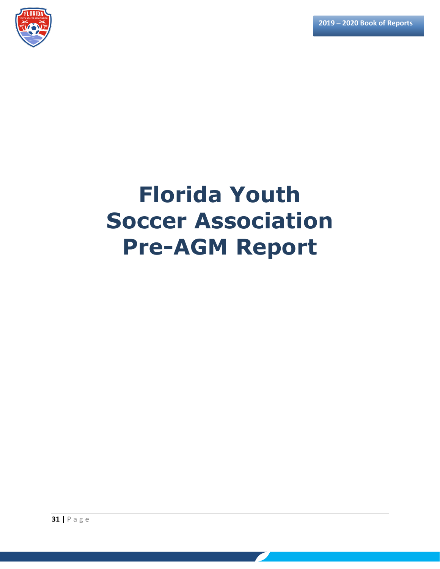**2019 – 2020 Book of Reports**



# **Florida Youth Soccer Association Pre-AGM Report**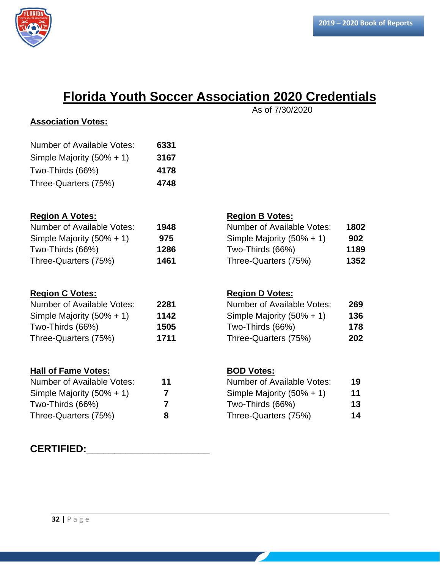

## **Florida Youth Soccer Association 2020 Credentials**

## **Association Votes:** Number of Available Votes: **6331** Simple Majority (50% + 1) **3167** Two-Thirds (66%) **4178** Three-Quarters (75%) **4748 Region A Votes: Region B Votes:** Number of Available Votes: **1948** Number of Available Votes: **1802** Simple Majority (50% + 1) **975** Simple Majority (50% + 1) **902** Two-Thirds (66%) **1286** Two-Thirds (66%) **1189** Three-Quarters (75%) **1461** Three-Quarters (75%) **1352 Region C Votes: Region D Votes:** Number of Available Votes: **2281** Number of Available Votes: **269** Simple Majority (50% + 1) **1142** Simple Majority (50% + 1) **136** Two-Thirds (66%) **1505** Two-Thirds (66%) **178** Three-Quarters (75%) **1711** Three-Quarters (75%) **202 Hall of Fame Votes: BOD Votes:** Number of Available Votes: **11** Number of Available Votes: **19** Simple Majority (50% + 1) **7** Simple Majority (50% + 1) **11** Two-Thirds (66%) **7** Two-Thirds (66%) **13** Three-Quarters (75%) **8** Three-Quarters (75%) **14**

### **CERTIFIED:\_\_\_\_\_\_\_\_\_\_\_\_\_\_\_\_\_\_\_\_\_\_**

As of 7/30/2020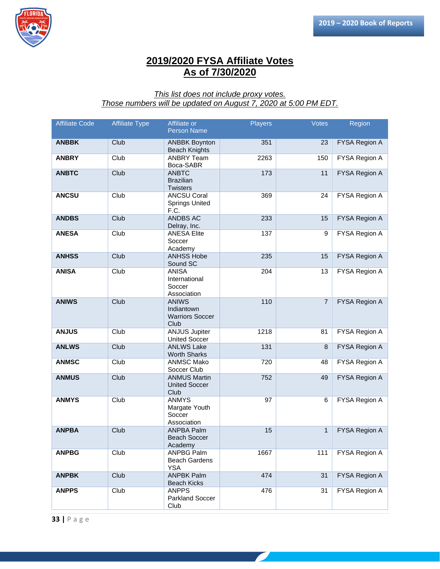

## **2019/2020 FYSA Affiliate Votes As of 7/30/2020**

#### *This list does not include proxy votes. Those numbers will be updated on August 7, 2020 at 5:00 PM EDT.*

| <b>Affiliate Code</b> | <b>Affiliate Type</b> | Affiliate or<br><b>Person Name</b>                           | <b>Players</b> | <b>Votes</b>   | Region               |
|-----------------------|-----------------------|--------------------------------------------------------------|----------------|----------------|----------------------|
| <b>ANBBK</b>          | Club                  | <b>ANBBK Boynton</b><br><b>Beach Knights</b>                 | 351            | 23             | FYSA Region A        |
| <b>ANBRY</b>          | Club                  | <b>ANBRY Team</b><br>Boca-SABR                               | 2263           | 150            | FYSA Region A        |
| <b>ANBTC</b>          | Club                  | <b>ANBTC</b><br><b>Brazilian</b><br><b>Twisters</b>          | 173            | 11             | FYSA Region A        |
| <b>ANCSU</b>          | Club                  | <b>ANCSU Coral</b><br><b>Springs United</b><br>F.C.          | 369            | 24             | FYSA Region A        |
| <b>ANDBS</b>          | Club                  | <b>ANDBS AC</b><br>Delray, Inc.                              | 233            | 15             | FYSA Region A        |
| <b>ANESA</b>          | Club                  | <b>ANESA Elite</b><br>Soccer<br>Academy                      | 137            | 9              | FYSA Region A        |
| <b>ANHSS</b>          | Club                  | <b>ANHSS Hobe</b><br>Sound SC                                | 235            | 15             | FYSA Region A        |
| <b>ANISA</b>          | Club                  | <b>ANISA</b><br>International<br>Soccer<br>Association       | 204            | 13             | FYSA Region A        |
| <b>ANIWS</b>          | Club                  | <b>ANIWS</b><br>Indiantown<br><b>Warriors Soccer</b><br>Club | 110            | $\overline{7}$ | FYSA Region A        |
| <b>ANJUS</b>          | Club                  | <b>ANJUS Jupiter</b><br><b>United Soccer</b>                 | 1218           | 81             | FYSA Region A        |
| <b>ANLWS</b>          | Club                  | <b>ANLWS Lake</b><br><b>Worth Sharks</b>                     | 131            | 8              | <b>FYSA Region A</b> |
| <b>ANMSC</b>          | Club                  | <b>ANMSC Mako</b><br>Soccer Club                             | 720            | 48             | FYSA Region A        |
| <b>ANMUS</b>          | Club                  | <b>ANMUS Martin</b><br><b>United Soccer</b><br>Club          | 752            | 49             | FYSA Region A        |
| <b>ANMYS</b>          | Club                  | <b>ANMYS</b><br>Margate Youth<br>Soccer<br>Association       | 97             | 6              | FYSA Region A        |
| <b>ANPBA</b>          | Club                  | <b>ANPBA Palm</b><br><b>Beach Soccer</b><br>Academy          | 15             | $\mathbf{1}$   | FYSA Region A        |
| <b>ANPBG</b>          | Club                  | <b>ANPBG Palm</b><br><b>Beach Gardens</b><br><b>YSA</b>      | 1667           | 111            | FYSA Region A        |
| <b>ANPBK</b>          | Club                  | <b>ANPBK Palm</b><br><b>Beach Kicks</b>                      | 474            | 31             | <b>FYSA Region A</b> |
| <b>ANPPS</b>          | Club                  | <b>ANPPS</b><br><b>Parkland Soccer</b><br>Club               | 476            | 31             | FYSA Region A        |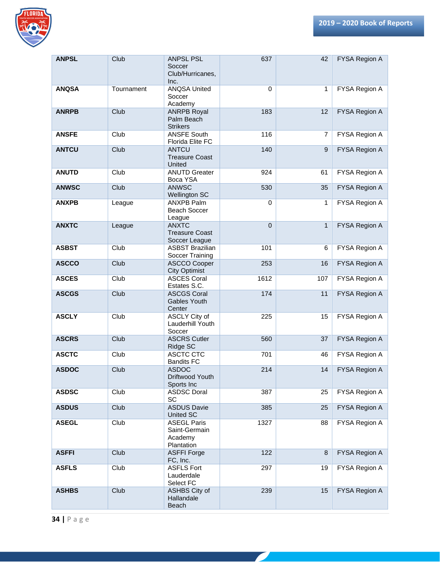

| <b>ANPSL</b> | Club        | <b>ANPSL PSL</b><br>Soccer<br>Club/Hurricanes,<br>Inc.       | 637         | 42             | FYSA Region A        |
|--------------|-------------|--------------------------------------------------------------|-------------|----------------|----------------------|
| <b>ANQSA</b> | Tournament  | <b>ANQSA United</b><br>Soccer<br>Academy                     | $\mathbf 0$ | $\mathbf{1}$   | FYSA Region A        |
| <b>ANRPB</b> | Club        | <b>ANRPB Royal</b><br>Palm Beach<br><b>Strikers</b>          | 183         | 12             | FYSA Region A        |
| <b>ANSFE</b> | Club        | <b>ANSFE South</b><br>Florida Elite FC                       | 116         | $\overline{7}$ | FYSA Region A        |
| <b>ANTCU</b> | Club        | <b>ANTCU</b><br><b>Treasure Coast</b><br><b>United</b>       | 140         | 9              | FYSA Region A        |
| <b>ANUTD</b> | Club        | <b>ANUTD Greater</b><br>Boca YSA                             | 924         | 61             | FYSA Region A        |
| <b>ANWSC</b> | Club        | <b>ANWSC</b><br><b>Wellington SC</b>                         | 530         | 35             | FYSA Region A        |
| <b>ANXPB</b> | League      | <b>ANXPB Palm</b><br>Beach Soccer<br>League                  | $\mathbf 0$ | 1              | FYSA Region A        |
| <b>ANXTC</b> | League      | <b>ANXTC</b><br><b>Treasure Coast</b><br>Soccer League       | $\mathbf 0$ | $\mathbf{1}$   | FYSA Region A        |
| <b>ASBST</b> | Club        | <b>ASBST Brazilian</b><br>Soccer Training                    | 101         | 6              | FYSA Region A        |
| <b>ASCCO</b> | Club        | <b>ASCCO Cooper</b><br><b>City Optimist</b>                  | 253         | 16             | FYSA Region A        |
| <b>ASCES</b> | Club        | <b>ASCES Coral</b><br>Estates S.C.                           | 1612        | 107            | FYSA Region A        |
| <b>ASCGS</b> | Club        | <b>ASCGS Coral</b><br>Gables Youth<br>Center                 | 174         | 11             | FYSA Region A        |
| <b>ASCLY</b> | Club        | <b>ASCLY City of</b><br>Lauderhill Youth<br>Soccer           | 225         | 15             | FYSA Region A        |
| <b>ASCRS</b> | Club        | <b>ASCRS Cutler</b><br>Ridge SC                              | 560         | 37             | FYSA Region A        |
| <b>ASCTC</b> | Club        | <b>ASCTC CTC</b><br><b>Bandits FC</b>                        | 701         | 46             | FYSA Region A        |
| <b>ASDOC</b> | Club        | <b>ASDOC</b><br>Driftwood Youth<br>Sports Inc                | 214         | 14             | <b>FYSA Region A</b> |
| <b>ASDSC</b> | Club        | <b>ASDSC Doral</b><br>SC                                     | 387         | 25             | FYSA Region A        |
| <b>ASDUS</b> | Club        | <b>ASDUS Davie</b><br>United SC                              | 385         | 25             | FYSA Region A        |
| <b>ASEGL</b> | Club        | <b>ASEGL Paris</b><br>Saint-Germain<br>Academy<br>Plantation | 1327        | 88             | FYSA Region A        |
| <b>ASFFI</b> | <b>Club</b> | <b>ASFFI Forge</b><br>FC, Inc.                               | 122         | 8              | FYSA Region A        |
| <b>ASFLS</b> | Club        | <b>ASFLS Fort</b><br>Lauderdale<br>Select FC                 | 297         | 19             | FYSA Region A        |
| <b>ASHBS</b> | Club        | ASHBS City of<br>Hallandale<br>Beach                         | 239         | 15             | FYSA Region A        |

<u> a shekara ta 1999 a shekara ta 1999 a shekara ta 1999 a shekara ta 1999 a shekara ta 1999 a shekara ta 1999 a </u>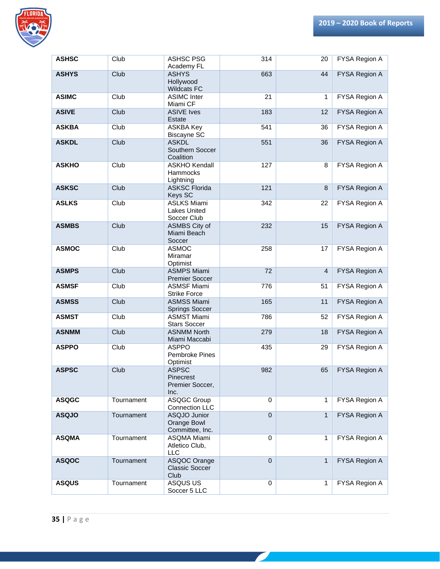

| <b>ASHSC</b> | Club       | <b>ASHSC PSG</b>                                         | 314         | 20             | FYSA Region A        |
|--------------|------------|----------------------------------------------------------|-------------|----------------|----------------------|
|              |            | Academy FL                                               |             |                |                      |
| <b>ASHYS</b> | Club       | <b>ASHYS</b><br>Hollywood<br><b>Wildcats FC</b>          | 663         | 44             | FYSA Region A        |
| <b>ASIMC</b> | Club       | <b>ASIMC</b> Inter<br>Miami CF                           | 21          | 1              | FYSA Region A        |
| <b>ASIVE</b> | Club       | <b>ASIVE Ives</b><br>Estate                              | 183         | 12             | FYSA Region A        |
| <b>ASKBA</b> | Club       | <b>ASKBA Key</b><br><b>Biscayne SC</b>                   | 541         | 36             | FYSA Region A        |
| <b>ASKDL</b> | Club       | <b>ASKDL</b><br>Southern Soccer<br>Coalition             | 551         | 36             | FYSA Region A        |
| <b>ASKHO</b> | Club       | <b>ASKHO Kendall</b><br>Hammocks<br>Lightning            | 127         | 8              | FYSA Region A        |
| <b>ASKSC</b> | Club       | <b>ASKSC Florida</b><br><b>Keys SC</b>                   | 121         | 8              | FYSA Region A        |
| <b>ASLKS</b> | Club       | <b>ASLKS Miami</b><br><b>Lakes United</b><br>Soccer Club | 342         | 22             | FYSA Region A        |
| <b>ASMBS</b> | Club       | ASMBS City of<br>Miami Beach<br>Soccer                   | 232         | 15             | FYSA Region A        |
| <b>ASMOC</b> | Club       | <b>ASMOC</b><br>Miramar<br>Optimist                      | 258         | 17             | FYSA Region A        |
| <b>ASMPS</b> | Club       | <b>ASMPS Miami</b><br><b>Premier Soccer</b>              | 72          | $\overline{4}$ | FYSA Region A        |
| <b>ASMSF</b> | Club       | <b>ASMSF Miami</b><br><b>Strike Force</b>                | 776         | 51             | FYSA Region A        |
| <b>ASMSS</b> | Club       | <b>ASMSS Miami</b><br><b>Springs Soccer</b>              | 165         | 11             | FYSA Region A        |
| <b>ASMST</b> | Club       | <b>ASMST Miami</b><br><b>Stars Soccer</b>                | 786         | 52             | FYSA Region A        |
| <b>ASNMM</b> | Club       | <b>ASNMM North</b><br>Miami Maccabi                      | 279         | 18             | FYSA Region A        |
| <b>ASPPO</b> | Club       | <b>ASPPO</b><br>Pembroke Pines<br>Optimist               | 435         | 29             | FYSA Region A        |
| <b>ASPSC</b> | Club       | <b>ASPSC</b><br>Pinecrest<br>Premier Soccer,<br>Inc.     | 982         | 65             | <b>FYSA Region A</b> |
| <b>ASQGC</b> | Tournament | <b>ASQGC Group</b><br>Connection LLC                     | $\mathbf 0$ | $\mathbf{1}$   | FYSA Region A        |
| <b>ASQJO</b> | Tournament | ASQJO Junior<br>Orange Bowl<br>Committee, Inc.           | $\mathbf 0$ | $\mathbf{1}$   | FYSA Region A        |
| <b>ASQMA</b> | Tournament | ASQMA Miami<br>Atletico Club,<br>LLC                     | $\mathbf 0$ | 1              | FYSA Region A        |
| <b>ASQOC</b> | Tournament | ASQOC Orange<br><b>Classic Soccer</b><br>Club            | $\mathbf 0$ | $\mathbf{1}$   | FYSA Region A        |
| <b>ASQUS</b> | Tournament | ASQUS US<br>Soccer 5 LLC                                 | $\mathbf 0$ | 1              | FYSA Region A        |

<u> a shekara ta 1999 a shekara ta 1999 a shekara ta 1999 a shekara ta 1999 a shekara ta 1999 a shekara ta 1999 a </u>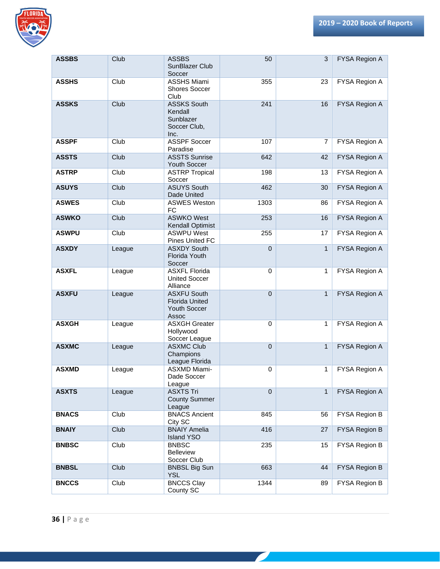

| <b>ASSBS</b> | Club   | <b>ASSBS</b><br>SunBlazer Club<br>Soccer                                    | 50             | 3            | FYSA Region A        |
|--------------|--------|-----------------------------------------------------------------------------|----------------|--------------|----------------------|
| <b>ASSHS</b> | Club   | <b>ASSHS Miami</b><br><b>Shores Soccer</b><br>Club                          | 355            | 23           | FYSA Region A        |
| <b>ASSKS</b> | Club   | <b>ASSKS South</b><br>Kendall<br>Sunblazer<br>Soccer Club,<br>Inc.          | 241            | 16           | FYSA Region A        |
| <b>ASSPF</b> | Club   | <b>ASSPF Soccer</b><br>Paradise                                             | 107            | 7            | FYSA Region A        |
| <b>ASSTS</b> | Club   | <b>ASSTS Sunrise</b><br>Youth Soccer                                        | 642            | 42           | FYSA Region A        |
| <b>ASTRP</b> | Club   | <b>ASTRP Tropical</b><br>Soccer                                             | 198            | 13           | FYSA Region A        |
| <b>ASUYS</b> | Club   | <b>ASUYS South</b><br>Dade United                                           | 462            | 30           | <b>FYSA Region A</b> |
| <b>ASWES</b> | Club   | <b>ASWES Weston</b><br><b>FC</b>                                            | 1303           | 86           | FYSA Region A        |
| <b>ASWKO</b> | Club   | <b>ASWKO West</b><br><b>Kendall Optimist</b>                                | 253            | 16           | FYSA Region A        |
| <b>ASWPU</b> | Club   | <b>ASWPU West</b><br>Pines United FC                                        | 255            | 17           | FYSA Region A        |
| <b>ASXDY</b> | League | <b>ASXDY South</b><br>Florida Youth<br>Soccer                               | $\mathbf 0$    | $\mathbf{1}$ | FYSA Region A        |
| <b>ASXFL</b> | League | <b>ASXFL Florida</b><br><b>United Soccer</b><br>Alliance                    | $\mathbf 0$    | 1            | FYSA Region A        |
| <b>ASXFU</b> | League | <b>ASXFU South</b><br><b>Florida United</b><br><b>Youth Soccer</b><br>Assoc | $\overline{0}$ | $\mathbf{1}$ | FYSA Region A        |
| <b>ASXGH</b> | League | <b>ASXGH Greater</b><br>Hollywood<br>Soccer League                          | $\mathbf 0$    | 1            | FYSA Region A        |
| <b>ASXMC</b> | League | <b>ASXMC Club</b><br>Champions<br>League Florida                            | $\mathbf 0$    | $\mathbf{1}$ | FYSA Region A        |
| <b>ASXMD</b> | League | ASXMD Miami-<br>Dade Soccer<br>League                                       | 0              | $\mathbf{1}$ | FYSA Region A        |
| <b>ASXTS</b> | League | <b>ASXTS Tri</b><br><b>County Summer</b><br>League                          | $\mathbf 0$    | $\mathbf{1}$ | FYSA Region A        |
| <b>BNACS</b> | Club   | <b>BNACS Ancient</b><br>City SC                                             | 845            | 56           | FYSA Region B        |
| <b>BNAIY</b> | Club   | <b>BNAIY Amelia</b><br><b>Island YSO</b>                                    | 416            | 27           | FYSA Region B        |
| <b>BNBSC</b> | Club   | <b>BNBSC</b><br><b>Belleview</b><br>Soccer Club                             | 235            | 15           | FYSA Region B        |
| <b>BNBSL</b> | Club   | <b>BNBSL Big Sun</b><br><b>YSL</b>                                          | 663            | 44           | FYSA Region B        |
| <b>BNCCS</b> | Club   | <b>BNCCS Clay</b><br>County SC                                              | 1344           | 89           | FYSA Region B        |

 $\overline{\phantom{a}}$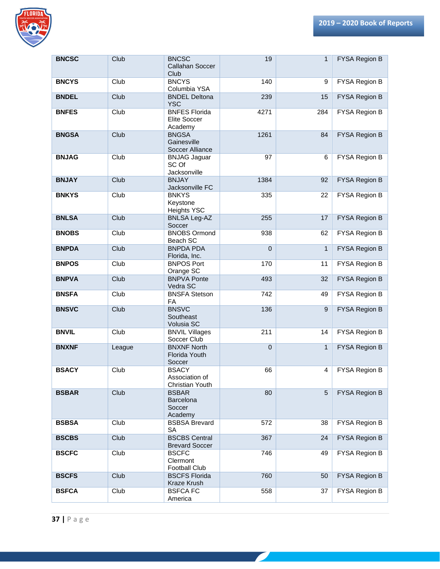

| <b>BNCSC</b> | Club   | <b>BNCSC</b><br>Callahan Soccer<br>Club           | 19          | 1            | FYSA Region B        |
|--------------|--------|---------------------------------------------------|-------------|--------------|----------------------|
| <b>BNCYS</b> | Club   | <b>BNCYS</b><br>Columbia YSA                      | 140         | 9            | FYSA Region B        |
| <b>BNDEL</b> | Club   | <b>BNDEL Deltona</b><br><b>YSC</b>                | 239         | 15           | FYSA Region B        |
| <b>BNFES</b> | Club   | <b>BNFES Florida</b><br>Elite Soccer<br>Academy   | 4271        | 284          | FYSA Region B        |
| <b>BNGSA</b> | Club   | <b>BNGSA</b><br>Gainesville<br>Soccer Alliance    | 1261        | 84           | FYSA Region B        |
| <b>BNJAG</b> | Club   | <b>BNJAG Jaguar</b><br>SC Of<br>Jacksonville      | 97          | 6            | FYSA Region B        |
| <b>BNJAY</b> | Club   | <b>BNJAY</b><br>Jacksonville FC                   | 1384        | 92           | <b>FYSA Region B</b> |
| <b>BNKYS</b> | Club   | <b>BNKYS</b><br>Keystone<br><b>Heights YSC</b>    | 335         | 22           | FYSA Region B        |
| <b>BNLSA</b> | Club   | <b>BNLSA Leg-AZ</b><br>Soccer                     | 255         | 17           | FYSA Region B        |
| <b>BNOBS</b> | Club   | <b>BNOBS Ormond</b><br>Beach SC                   | 938         | 62           | FYSA Region B        |
| <b>BNPDA</b> | Club   | <b>BNPDA PDA</b><br>Florida, Inc.                 | $\mathbf 0$ | $\mathbf{1}$ | FYSA Region B        |
| <b>BNPOS</b> | Club   | <b>BNPOS Port</b><br>Orange SC                    | 170         | 11           | FYSA Region B        |
| <b>BNPVA</b> | Club   | <b>BNPVA Ponte</b><br>Vedra SC                    | 493         | 32           | FYSA Region B        |
| <b>BNSFA</b> | Club   | <b>BNSFA Stetson</b><br><b>FA</b>                 | 742         | 49           | FYSA Region B        |
| <b>BNSVC</b> | Club   | <b>BNSVC</b><br>Southeast<br>Volusia SC           | 136         | 9            | FYSA Region B        |
| <b>BNVIL</b> | Club   | <b>BNVIL Villages</b><br>Soccer Club              | 211         | 14           | FYSA Region B        |
| <b>BNXNF</b> | League | <b>BNXNF North</b><br>Florida Youth<br>Soccer     | $\mathbf 0$ | $\mathbf{1}$ | FYSA Region B        |
| <b>BSACY</b> | Club   | <b>BSACY</b><br>Association of<br>Christian Youth | 66          | 4            | <b>FYSA Region B</b> |
| <b>BSBAR</b> | Club   | <b>BSBAR</b><br>Barcelona<br>Soccer<br>Academy    | 80          | 5            | FYSA Region B        |
| <b>BSBSA</b> | Club   | <b>BSBSA Brevard</b><br><b>SA</b>                 | 572         | 38           | FYSA Region B        |
| <b>BSCBS</b> | Club   | <b>BSCBS Central</b><br><b>Brevard Soccer</b>     | 367         | 24           | <b>FYSA Region B</b> |
| <b>BSCFC</b> | Club   | <b>BSCFC</b><br>Clermont<br><b>Football Club</b>  | 746         | 49           | FYSA Region B        |
| <b>BSCFS</b> | Club   | <b>BSCFS Florida</b><br>Kraze Krush               | 760         | 50           | FYSA Region B        |
| <b>BSFCA</b> | Club   | <b>BSFCAFC</b><br>America                         | 558         | 37           | FYSA Region B        |

 $\mathcal{L}$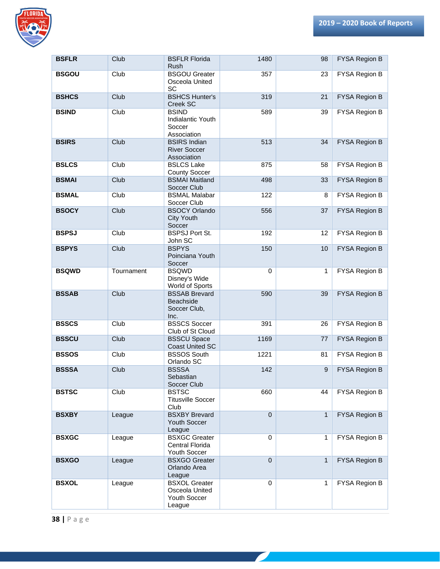

| <b>BSFLR</b> | Club       | <b>BSFLR Florida</b><br><b>Rush</b>                              | 1480           | 98               | FYSA Region B        |
|--------------|------------|------------------------------------------------------------------|----------------|------------------|----------------------|
| <b>BSGOU</b> | Club       | <b>BSGOU Greater</b><br>Osceola United<br><b>SC</b>              | 357            | 23               | FYSA Region B        |
| <b>BSHCS</b> | Club       | <b>BSHCS Hunter's</b><br>Creek SC                                | 319            | 21               | FYSA Region B        |
| <b>BSIND</b> | Club       | <b>BSIND</b><br>Indialantic Youth<br>Soccer<br>Association       | 589            | 39               | FYSA Region B        |
| <b>BSIRS</b> | Club       | <b>BSIRS Indian</b><br><b>River Soccer</b><br>Association        | 513            | 34               | FYSA Region B        |
| <b>BSLCS</b> | Club       | <b>BSLCS Lake</b><br><b>County Soccer</b>                        | 875            | 58               | FYSA Region B        |
| <b>BSMAI</b> | Club       | <b>BSMAI Maitland</b><br>Soccer Club                             | 498            | 33               | FYSA Region B        |
| <b>BSMAL</b> | Club       | <b>BSMAL Malabar</b><br>Soccer Club                              | 122            | 8                | FYSA Region B        |
| <b>BSOCY</b> | Club       | <b>BSOCY Orlando</b><br><b>City Youth</b><br>Soccer              | 556            | 37               | FYSA Region B        |
| <b>BSPSJ</b> | Club       | <b>BSPSJ Port St.</b><br>John SC                                 | 192            | 12               | FYSA Region B        |
| <b>BSPYS</b> | Club       | <b>BSPYS</b><br>Poinciana Youth<br>Soccer                        | 150            | 10               | FYSA Region B        |
| <b>BSQWD</b> | Tournament | <b>BSQWD</b><br>Disney's Wide<br>World of Sports                 | $\mathbf 0$    | $\mathbf{1}$     | FYSA Region B        |
| <b>BSSAB</b> | Club       | <b>BSSAB Brevard</b><br>Beachside<br>Soccer Club,<br>Inc.        | 590            | 39               | FYSA Region B        |
| <b>BSSCS</b> | Club       | <b>BSSCS Soccer</b><br>Club of St Cloud                          | 391            | 26               | FYSA Region B        |
| <b>BSSCU</b> | Club       | <b>BSSCU Space</b><br><b>Coast United SC</b>                     | 1169           | 77               | FYSA Region B        |
| <b>BSSOS</b> | Club       | <b>BSSOS South</b><br>Orlando SC                                 | 1221           | 81               | FYSA Region B        |
| <b>BSSSA</b> | Club       | <b>BSSSA</b><br>Sebastian<br>Soccer Club                         | 142            | $\boldsymbol{9}$ | <b>FYSA Region B</b> |
| <b>BSTSC</b> | Club       | <b>BSTSC</b><br><b>Titusville Soccer</b><br>Club                 | 660            | 44               | FYSA Region B        |
| <b>BSXBY</b> | League     | <b>BSXBY Brevard</b><br>Youth Soccer<br>League                   | $\mathbf{0}$   | $\mathbf{1}$     | FYSA Region B        |
| <b>BSXGC</b> | League     | <b>BSXGC Greater</b><br>Central Florida<br>Youth Soccer          | $\mathbf 0$    | 1                | FYSA Region B        |
| <b>BSXGO</b> | League     | <b>BSXGO Greater</b><br>Orlando Area<br>League                   | $\overline{0}$ | $\mathbf{1}$     | FYSA Region B        |
| <b>BSXOL</b> | League     | <b>BSXOL Greater</b><br>Osceola United<br>Youth Soccer<br>League | $\mathbf 0$    | $\mathbf{1}$     | FYSA Region B        |

<u> a shekara ta 1999 a shekara ta 1999 a shekara ta 1999 a shekara ta 1999 a shekara ta 1999 a shekara ta 1999 a </u>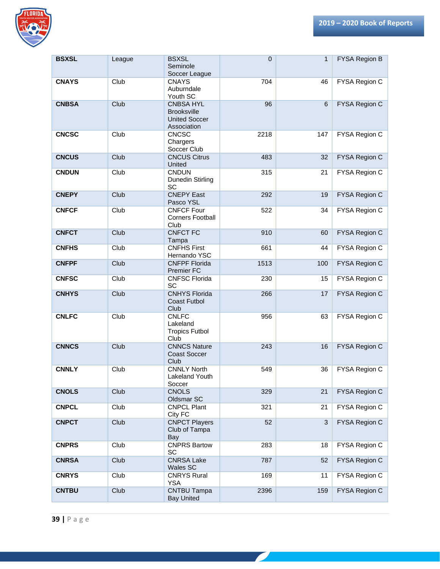

| <b>BSXSL</b> | League | <b>BSXSL</b><br>Seminole<br>Soccer League                                     | $\mathbf 0$ | 1   | FYSA Region B |
|--------------|--------|-------------------------------------------------------------------------------|-------------|-----|---------------|
| <b>CNAYS</b> | Club   | <b>CNAYS</b><br>Auburndale<br>Youth SC                                        | 704         | 46  | FYSA Region C |
| <b>CNBSA</b> | Club   | <b>CNBSA HYL</b><br><b>Brooksville</b><br><b>United Soccer</b><br>Association | 96          | 6   | FYSA Region C |
| <b>CNCSC</b> | Club   | <b>CNCSC</b><br>Chargers<br>Soccer Club                                       | 2218        | 147 | FYSA Region C |
| <b>CNCUS</b> | Club   | <b>CNCUS Citrus</b><br>United                                                 | 483         | 32  | FYSA Region C |
| <b>CNDUN</b> | Club   | <b>CNDUN</b><br>Dunedin Stirling<br>SC                                        | 315         | 21  | FYSA Region C |
| <b>CNEPY</b> | Club   | <b>CNEPY East</b><br>Pasco YSL                                                | 292         | 19  | FYSA Region C |
| <b>CNFCF</b> | Club   | <b>CNFCF Four</b><br><b>Corners Football</b><br>Club                          | 522         | 34  | FYSA Region C |
| <b>CNFCT</b> | Club   | <b>CNFCT FC</b><br>Tampa                                                      | 910         | 60  | FYSA Region C |
| <b>CNFHS</b> | Club   | <b>CNFHS First</b><br>Hernando YSC                                            | 661         | 44  | FYSA Region C |
| <b>CNFPF</b> | Club   | <b>CNFPF Florida</b><br><b>Premier FC</b>                                     | 1513        | 100 | FYSA Region C |
| <b>CNFSC</b> | Club   | <b>CNFSC Florida</b><br>SC                                                    | 230         | 15  | FYSA Region C |
| <b>CNHYS</b> | Club   | <b>CNHYS Florida</b><br><b>Coast Futbol</b><br>Club                           | 266         | 17  | FYSA Region C |
| <b>CNLFC</b> | Club   | <b>CNLFC</b><br>Lakeland<br><b>Tropics Futbol</b><br>Club                     | 956         | 63  | FYSA Region C |
| <b>CNNCS</b> | Club   | <b>CNNCS Nature</b><br><b>Coast Soccer</b><br>Club                            | 243         | 16  | FYSA Region C |
| <b>CNNLY</b> | Club   | <b>CNNLY North</b><br>Lakeland Youth<br>Soccer                                | 549         | 36  | FYSA Region C |
| <b>CNOLS</b> | Club   | <b>CNOLS</b><br>Oldsmar SC                                                    | 329         | 21  | FYSA Region C |
| <b>CNPCL</b> | Club   | <b>CNPCL Plant</b><br>City FC                                                 | 321         | 21  | FYSA Region C |
| <b>CNPCT</b> | Club   | <b>CNPCT Players</b><br>Club of Tampa<br>Bay                                  | 52          | 3   | FYSA Region C |
| <b>CNPRS</b> | Club   | <b>CNPRS Bartow</b><br>SC                                                     | 283         | 18  | FYSA Region C |
| <b>CNRSA</b> | Club   | <b>CNRSA Lake</b><br>Wales SC                                                 | 787         | 52  | FYSA Region C |
| <b>CNRYS</b> | Club   | <b>CNRYS Rural</b><br><b>YSA</b>                                              | 169         | 11  | FYSA Region C |
| <b>CNTBU</b> | Club   | <b>CNTBU Tampa</b><br><b>Bay United</b>                                       | 2396        | 159 | FYSA Region C |

<u> a shekara ta 1999 a shekara ta 1999 a shekara ta 1999 a shekara ta 1999 a shekara ta 1999 a shekara ta 1999 a </u>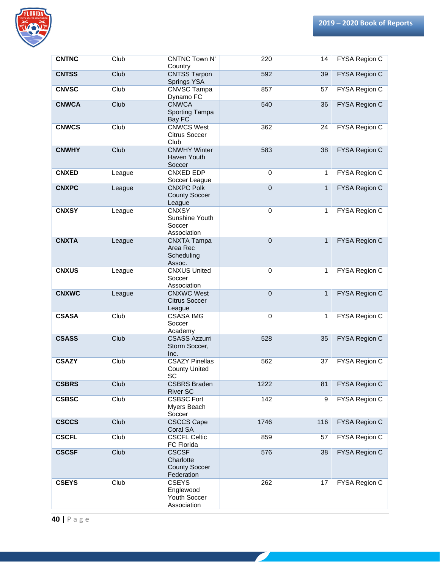

| <b>CNTNC</b> | Club   | <b>CNTNC Town N'</b><br>Country                                 | 220         | 14           | FYSA Region C        |
|--------------|--------|-----------------------------------------------------------------|-------------|--------------|----------------------|
| <b>CNTSS</b> | Club   | <b>CNTSS Tarpon</b><br>Springs YSA                              | 592         | 39           | FYSA Region C        |
| <b>CNVSC</b> | Club   | <b>CNVSC Tampa</b><br>Dynamo FC                                 | 857         | 57           | <b>FYSA Region C</b> |
| <b>CNWCA</b> | Club   | <b>CNWCA</b><br>Sporting Tampa<br>Bay FC                        | 540         | 36           | FYSA Region C        |
| <b>CNWCS</b> | Club   | <b>CNWCS West</b><br>Citrus Soccer<br>Club                      | 362         | 24           | FYSA Region C        |
| <b>CNWHY</b> | Club   | <b>CNWHY Winter</b><br>Haven Youth<br>Soccer                    | 583         | 38           | FYSA Region C        |
| <b>CNXED</b> | League | CNXED EDP<br>Soccer League                                      | $\mathbf 0$ | 1            | FYSA Region C        |
| <b>CNXPC</b> | League | <b>CNXPC Polk</b><br><b>County Soccer</b><br>League             | $\mathbf 0$ | $\mathbf{1}$ | FYSA Region C        |
| <b>CNXSY</b> | League | <b>CNXSY</b><br>Sunshine Youth<br>Soccer<br>Association         | $\Omega$    | 1            | FYSA Region C        |
| <b>CNXTA</b> | League | <b>CNXTA Tampa</b><br>Area Rec<br>Scheduling<br>Assoc.          | $\mathbf 0$ | $\mathbf{1}$ | FYSA Region C        |
| <b>CNXUS</b> | League | <b>CNXUS United</b><br>Soccer<br>Association                    | $\mathbf 0$ | 1            | FYSA Region C        |
| <b>CNXWC</b> | League | <b>CNXWC West</b><br><b>Citrus Soccer</b><br>League             | $\mathbf 0$ | $\mathbf{1}$ | FYSA Region C        |
| <b>CSASA</b> | Club   | <b>CSASA IMG</b><br>Soccer<br>Academy                           | $\Omega$    | 1            | FYSA Region C        |
| <b>CSASS</b> | Club   | <b>CSASS Azzurri</b><br>Storm Soccer,<br>Inc.                   | 528         | 35           | FYSA Region C        |
| <b>CSAZY</b> | Club   | <b>CSAZY Pinellas</b><br><b>County United</b><br>SC             | 562         | 37           | FYSA Region C        |
| <b>CSBRS</b> | Club   | <b>CSBRS Braden</b><br><b>River SC</b>                          | 1222        | 81           | <b>FYSA Region C</b> |
| <b>CSBSC</b> | Club   | <b>CSBSC Fort</b><br>Myers Beach<br>Soccer                      | 142         | 9            | FYSA Region C        |
| <b>CSCCS</b> | Club   | <b>CSCCS Cape</b><br>Coral SA                                   | 1746        | 116          | FYSA Region C        |
| <b>CSCFL</b> | Club   | <b>CSCFL Celtic</b><br>FC Florida                               | 859         | 57           | FYSA Region C        |
| <b>CSCSF</b> | Club   | <b>CSCSF</b><br>Charlotte<br><b>County Soccer</b><br>Federation | 576         | 38           | FYSA Region C        |
| <b>CSEYS</b> | Club   | <b>CSEYS</b><br>Englewood<br>Youth Soccer<br>Association        | 262         | 17           | FYSA Region C        |

 $\boldsymbol{\ell}$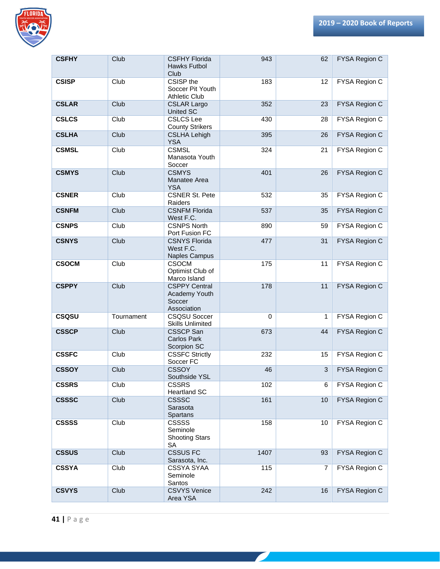

| <b>CSFHY</b> | Club       | <b>CSFHY Florida</b><br>Hawks Futbol<br>Club                   | 943         | 62             | FYSA Region C        |
|--------------|------------|----------------------------------------------------------------|-------------|----------------|----------------------|
| <b>CSISP</b> | Club       | CSISP the<br>Soccer Pit Youth<br><b>Athletic Club</b>          | 183         | 12             | FYSA Region C        |
| <b>CSLAR</b> | Club       | <b>CSLAR Largo</b><br><b>United SC</b>                         | 352         | 23             | FYSA Region C        |
| <b>CSLCS</b> | Club       | <b>CSLCS Lee</b><br><b>County Strikers</b>                     | 430         | 28             | FYSA Region C        |
| <b>CSLHA</b> | Club       | <b>CSLHA Lehigh</b><br><b>YSA</b>                              | 395         | 26             | FYSA Region C        |
| <b>CSMSL</b> | Club       | <b>CSMSL</b><br>Manasota Youth<br>Soccer                       | 324         | 21             | FYSA Region C        |
| <b>CSMYS</b> | Club       | <b>CSMYS</b><br>Manatee Area<br><b>YSA</b>                     | 401         | 26             | FYSA Region C        |
| <b>CSNER</b> | Club       | <b>CSNER St. Pete</b><br>Raiders                               | 532         | 35             | FYSA Region C        |
| <b>CSNFM</b> | Club       | <b>CSNFM Florida</b><br>West F.C.                              | 537         | 35             | FYSA Region C        |
| <b>CSNPS</b> | Club       | <b>CSNPS North</b><br>Port Fusion FC                           | 890         | 59             | FYSA Region C        |
| <b>CSNYS</b> | Club       | <b>CSNYS Florida</b><br>West F.C.<br>Naples Campus             | 477         | 31             | FYSA Region C        |
| <b>CSOCM</b> | Club       | <b>CSOCM</b><br>Optimist Club of<br>Marco Island               | 175         | 11             | FYSA Region C        |
| <b>CSPPY</b> | Club       | <b>CSPPY Central</b><br>Academy Youth<br>Soccer<br>Association | 178         | 11             | FYSA Region C        |
| <b>CSQSU</b> | Tournament | <b>CSQSU Soccer</b><br><b>Skills Unlimited</b>                 | $\mathbf 0$ | 1              | FYSA Region C        |
| <b>CSSCP</b> | Club       | <b>CSSCP San</b><br>Carlos Park<br>Scorpion SC                 | 673         | 44             | <b>FYSA Region C</b> |
| <b>CSSFC</b> | Club       | <b>CSSFC Strictly</b><br>Soccer FC                             | 232         | 15             | FYSA Region C        |
| <b>CSSOY</b> | Club       | <b>CSSOY</b><br>Southside YSL                                  | 46          | 3              | FYSA Region C        |
| <b>CSSRS</b> | Club       | <b>CSSRS</b><br><b>Heartland SC</b>                            | 102         | 6              | FYSA Region C        |
| <b>CSSSC</b> | Club       | <b>CSSSC</b><br>Sarasota<br><b>Spartans</b>                    | 161         | 10             | FYSA Region C        |
| <b>CSSSS</b> | Club       | <b>CSSSS</b><br>Seminole<br><b>Shooting Stars</b><br>SA        | 158         | 10             | FYSA Region C        |
| <b>CSSUS</b> | Club       | <b>CSSUS FC</b><br>Sarasota, Inc.                              | 1407        | 93             | FYSA Region C        |
| <b>CSSYA</b> | Club       | CSSYA SYAA<br>Seminole<br>Santos                               | 115         | $\overline{7}$ | FYSA Region C        |
| <b>CSVYS</b> | Club       | <b>CSVYS Venice</b><br>Area YSA                                | 242         | 16             | FYSA Region C        |

<u> a shekara ta 1999 a shekara ta 1999 a shekara ta 1999 a shekara ta 1999 a shekara ta 1999 a shekara ta 1999 a </u>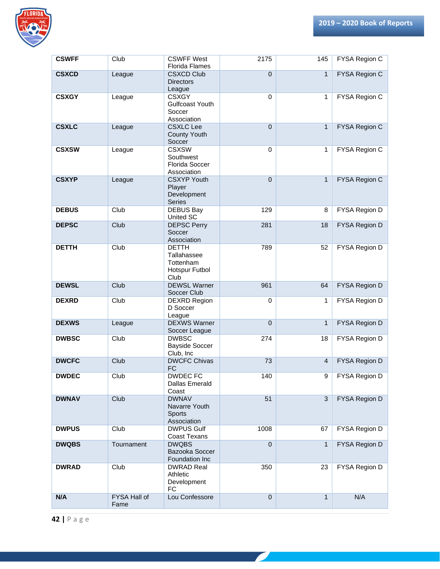

| <b>CSWFF</b> | Club                 | <b>CSWFF West</b>                                                  | 2175        | 145          | FYSA Region C        |
|--------------|----------------------|--------------------------------------------------------------------|-------------|--------------|----------------------|
|              |                      | <b>Florida Flames</b>                                              |             |              |                      |
| <b>CSXCD</b> | League               | <b>CSXCD Club</b><br><b>Directors</b><br>League                    | $\mathbf 0$ | $\mathbf{1}$ | FYSA Region C        |
| <b>CSXGY</b> | League               | <b>CSXGY</b><br><b>Gulfcoast Youth</b><br>Soccer<br>Association    | $\mathbf 0$ | $\mathbf{1}$ | FYSA Region C        |
| <b>CSXLC</b> | League               | <b>CSXLC Lee</b><br><b>County Youth</b><br>Soccer                  | $\mathbf 0$ | $\mathbf{1}$ | FYSA Region C        |
| <b>CSXSW</b> | League               | <b>CSXSW</b><br>Southwest<br><b>Florida Soccer</b><br>Association  | $\mathbf 0$ | 1            | <b>FYSA Region C</b> |
| <b>CSXYP</b> | League               | <b>CSXYP Youth</b><br>Player<br>Development<br>Series              | $\mathbf 0$ | $\mathbf{1}$ | FYSA Region C        |
| <b>DEBUS</b> | Club                 | <b>DEBUS Bay</b><br>United SC                                      | 129         | 8            | FYSA Region D        |
| <b>DEPSC</b> | Club                 | <b>DEPSC Perry</b><br>Soccer<br>Association                        | 281         | 18           | FYSA Region D        |
| <b>DETTH</b> | Club                 | <b>DETTH</b><br>Tallahassee<br>Tottenham<br>Hotspur Futbol<br>Club | 789         | 52           | FYSA Region D        |
| <b>DEWSL</b> | Club                 | <b>DEWSL Warner</b><br>Soccer Club                                 | 961         | 64           | FYSA Region D        |
| <b>DEXRD</b> | Club                 | <b>DEXRD Region</b><br>D Soccer<br>League                          | $\mathbf 0$ | 1            | FYSA Region D        |
| <b>DEXWS</b> | League               | <b>DEXWS Warner</b><br>Soccer League                               | $\mathbf 0$ | $\mathbf{1}$ | FYSA Region D        |
| <b>DWBSC</b> | Club                 | <b>DWBSC</b><br><b>Bayside Soccer</b><br>Club, Inc.                | 274         | 18           | FYSA Region D        |
| <b>DWCFC</b> | Club                 | <b>DWCFC Chivas</b><br><b>FC</b>                                   | 73          | 4            | FYSA Region D        |
| <b>DWDEC</b> | Club                 | <b>DWDEC FC</b><br><b>Dallas Emerald</b><br>Coast                  | 140         | 9            | FYSA Region D        |
| <b>DWNAV</b> | Club                 | <b>DWNAV</b><br>Navarre Youth<br>Sports<br>Association             | 51          | 3            | FYSA Region D        |
| <b>DWPUS</b> | Club                 | <b>DWPUS Gulf</b><br><b>Coast Texans</b>                           | 1008        | 67           | FYSA Region D        |
| <b>DWQBS</b> | Tournament           | <b>DWQBS</b><br>Bazooka Soccer<br>Foundation Inc                   | $\pmb{0}$   | $\mathbf{1}$ | FYSA Region D        |
| <b>DWRAD</b> | Club                 | <b>DWRAD Real</b><br>Athletic<br>Development<br><b>FC</b>          | 350         | 23           | FYSA Region D        |
| N/A          | FYSA Hall of<br>Fame | Lou Confessore                                                     | $\mathbf 0$ | $\mathbf{1}$ | N/A                  |

<u> a shekara ta 1999 a shekara ta 1999 a shekara ta 1999 a shekara ta 1999 a shekara ta 1999 a shekara ta 1999 a </u>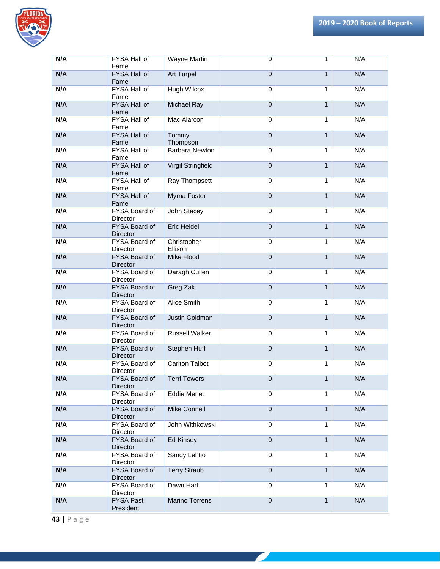

| N/A | FYSA Hall of<br>Fame             | <b>Wayne Martin</b>       | $\mathbf 0$      | $\mathbf{1}$   | N/A |
|-----|----------------------------------|---------------------------|------------------|----------------|-----|
| N/A | FYSA Hall of<br>Fame             | <b>Art Turpel</b>         | $\mathbf 0$      | $\mathbf{1}$   | N/A |
| N/A | FYSA Hall of<br>Fame             | <b>Hugh Wilcox</b>        | $\mathbf 0$      | $\mathbf{1}$   | N/A |
| N/A | <b>FYSA Hall of</b><br>Fame      | Michael Ray               | $\boldsymbol{0}$ | $\mathbf{1}$   | N/A |
| N/A | FYSA Hall of<br>Fame             | Mac Alarcon               | $\pmb{0}$        | $\mathbf{1}$   | N/A |
| N/A | <b>FYSA Hall of</b><br>Fame      | Tommy<br>Thompson         | $\mathbf 0$      | $\mathbf{1}$   | N/A |
| N/A | FYSA Hall of<br>Fame             | <b>Barbara Newton</b>     | $\mathbf 0$      | $\mathbf{1}$   | N/A |
| N/A | FYSA Hall of<br>Fame             | <b>Virgil Stringfield</b> | $\mathbf 0$      | $\mathbf{1}$   | N/A |
| N/A | FYSA Hall of<br>Fame             | Ray Thompsett             | $\mathbf 0$      | $\mathbf{1}$   | N/A |
| N/A | FYSA Hall of<br>Fame             | Myrna Foster              | $\mathbf 0$      | $\mathbf{1}$   | N/A |
| N/A | FYSA Board of<br>Director        | John Stacey               | $\mathbf 0$      | $\mathbf{1}$   | N/A |
| N/A | FYSA Board of<br><b>Director</b> | <b>Eric Heidel</b>        | $\overline{0}$   | $\overline{1}$ | N/A |
| N/A | FYSA Board of<br>Director        | Christopher<br>Ellison    | $\mathbf 0$      | $\mathbf{1}$   | N/A |
| N/A | FYSA Board of<br>Director        | Mike Flood                | $\overline{0}$   | $\overline{1}$ | N/A |
| N/A | FYSA Board of<br>Director        | Daragh Cullen             | $\mathbf 0$      | $\mathbf{1}$   | N/A |
| N/A | FYSA Board of<br><b>Director</b> | Greg Zak                  | $\overline{0}$   | $\overline{1}$ | N/A |
| N/A | FYSA Board of<br>Director        | Alice Smith               | $\mathbf 0$      | $\mathbf{1}$   | N/A |
| N/A | FYSA Board of<br><b>Director</b> | Justin Goldman            | $\overline{0}$   | $\mathbf{1}$   | N/A |
| N/A | FYSA Board of<br>Director        | <b>Russell Walker</b>     | $\mathbf 0$      | $\mathbf{1}$   | N/A |
| N/A | FYSA Board of<br><b>Director</b> | Stephen Huff              | $\mathbf 0$      | $\mathbf{1}$   | N/A |
| N/A | FYSA Board of<br>Director        | <b>Carlton Talbot</b>     | $\mathbf 0$      | 1              | N/A |
| N/A | FYSA Board of<br><b>Director</b> | <b>Terri Towers</b>       | 0                | $\mathbf{1}$   | N/A |
| N/A | FYSA Board of<br>Director        | <b>Eddie Merlet</b>       | $\mathbf 0$      | $\mathbf{1}$   | N/A |
| N/A | FYSA Board of<br>Director        | <b>Mike Connell</b>       | $\mathbf 0$      | $\mathbf{1}$   | N/A |
| N/A | FYSA Board of<br><b>Director</b> | John Withkowski           | $\mathbf 0$      | $\mathbf{1}$   | N/A |
| N/A | FYSA Board of<br>Director        | Ed Kinsey                 | $\mathbf{0}$     | $\mathbf{1}$   | N/A |
| N/A | FYSA Board of<br>Director        | Sandy Lehtio              | $\mathbf 0$      | $\mathbf{1}$   | N/A |
| N/A | FYSA Board of<br>Director        | <b>Terry Straub</b>       | $\mathbf 0$      | $\mathbf{1}$   | N/A |
| N/A | FYSA Board of<br>Director        | Dawn Hart                 | $\mathbf 0$      | 1              | N/A |
| N/A | <b>FYSA Past</b><br>President    | Marino Torrens            | $\pmb{0}$        | $\mathbf{1}$   | N/A |

 $\mathcal{L}_{\mathcal{A}}$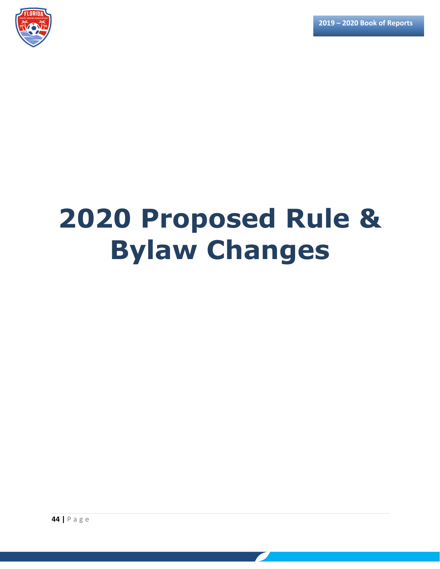

# **2020 Proposed Rule & Bylaw Changes**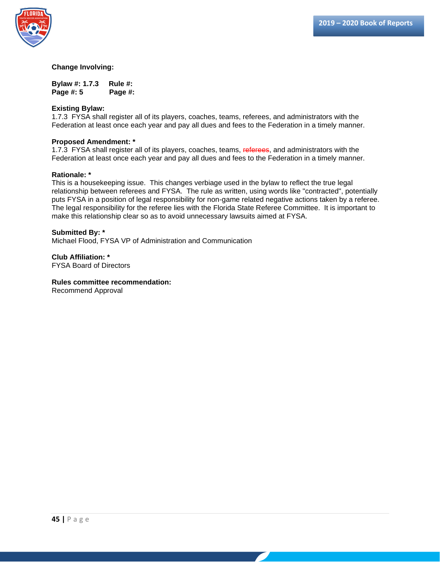

**Bylaw #: 1.7.3 Rule #: Page #: 5 Page #:** 

#### **Existing Bylaw:**

1.7.3 FYSA shall register all of its players, coaches, teams, referees, and administrators with the Federation at least once each year and pay all dues and fees to the Federation in a timely manner.

#### **Proposed Amendment: \***

1.7.3 FYSA shall register all of its players, coaches, teams, referees, and administrators with the Federation at least once each year and pay all dues and fees to the Federation in a timely manner.

#### **Rationale: \***

This is a housekeeping issue. This changes verbiage used in the bylaw to reflect the true legal relationship between referees and FYSA. The rule as written, using words like "contracted", potentially puts FYSA in a position of legal responsibility for non-game related negative actions taken by a referee. The legal responsibility for the referee lies with the Florida State Referee Committee. It is important to make this relationship clear so as to avoid unnecessary lawsuits aimed at FYSA.

#### **Submitted By: \*** Michael Flood, FYSA VP of Administration and Communication

**Club Affiliation: \*** FYSA Board of Directors

#### **Rules committee recommendation:**

Recommend Approval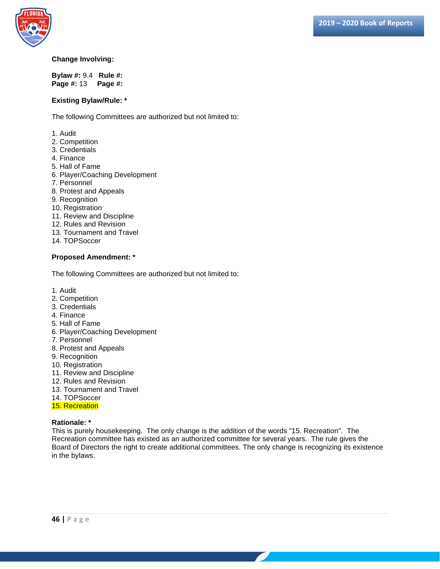

**Bylaw #:** 9.4 **Rule #: Page #:** 13 **Page #:** 

#### **Existing Bylaw/Rule: \***

The following Committees are authorized but not limited to:

- 1. Audit
- 2. Competition
- 3. Credentials
- 4. Finance
- 5. Hall of Fame
- 6. Player/Coaching Development
- 7. Personnel
- 8. Protest and Appeals
- 9. Recognition
- 10. Registration
- 11. Review and Discipline
- 12. Rules and Revision
- 13. Tournament and Travel
- 14. TOPSoccer

#### **Proposed Amendment: \***

The following Committees are authorized but not limited to:

- 1. Audit
- 2. Competition
- 3. Credentials
- 4. Finance
- 5. Hall of Fame
- 6. Player/Coaching Development
- 7. Personnel
- 8. Protest and Appeals
- 9. Recognition
- 10. Registration
- 11. Review and Discipline
- 12. Rules and Revision
- 13. Tournament and Travel
- 14. TOPSoccer
- 15. Recreation

#### **Rationale: \***

This is purely housekeeping. The only change is the addition of the words "15. Recreation". The Recreation committee has existed as an authorized committee for several years. The rule gives the Board of Directors the right to create additional committees. The only change is recognizing its existence in the bylaws.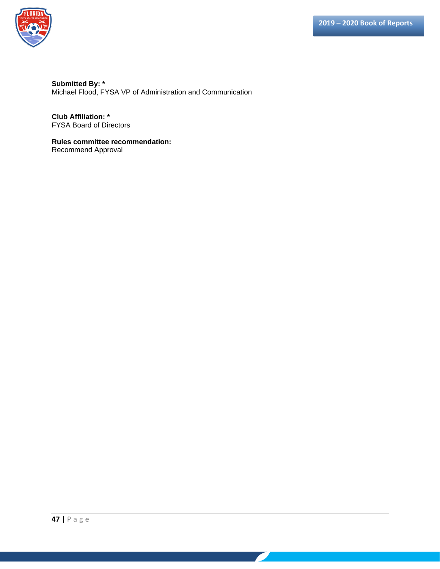

**Submitted By: \*** Michael Flood, FYSA VP of Administration and Communication

**Club Affiliation: \*** FYSA Board of Directors

**Rules committee recommendation:** Recommend Approval

 $\overline{\phantom{a}}$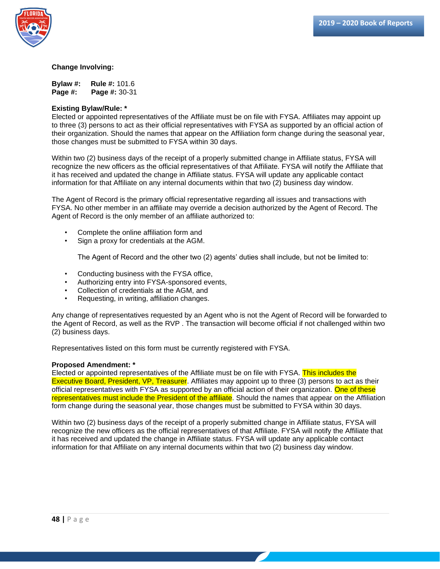

**Bylaw #: Rule #:** 101.6 **Page #: Page #:** 30-31

#### **Existing Bylaw/Rule: \***

Elected or appointed representatives of the Affiliate must be on file with FYSA. Affiliates may appoint up to three (3) persons to act as their official representatives with FYSA as supported by an official action of their organization. Should the names that appear on the Affiliation form change during the seasonal year, those changes must be submitted to FYSA within 30 days.

Within two (2) business days of the receipt of a properly submitted change in Affiliate status, FYSA will recognize the new officers as the official representatives of that Affiliate. FYSA will notify the Affiliate that it has received and updated the change in Affiliate status. FYSA will update any applicable contact information for that Affiliate on any internal documents within that two (2) business day window.

The Agent of Record is the primary official representative regarding all issues and transactions with FYSA. No other member in an affiliate may override a decision authorized by the Agent of Record. The Agent of Record is the only member of an affiliate authorized to:

- Complete the online affiliation form and
- Sign a proxy for credentials at the AGM.

The Agent of Record and the other two (2) agents' duties shall include, but not be limited to:

- Conducting business with the FYSA office,
- Authorizing entry into FYSA-sponsored events,
- Collection of credentials at the AGM, and
- Requesting, in writing, affiliation changes.

Any change of representatives requested by an Agent who is not the Agent of Record will be forwarded to the Agent of Record, as well as the RVP . The transaction will become official if not challenged within two (2) business days.

Representatives listed on this form must be currently registered with FYSA.

#### **Proposed Amendment: \***

Elected or appointed representatives of the Affiliate must be on file with FYSA. This includes the Executive Board, President, VP, Treasurer. Affiliates may appoint up to three (3) persons to act as their official representatives with FYSA as supported by an official action of their organization. One of these representatives must include the President of the affiliate. Should the names that appear on the Affiliation form change during the seasonal year, those changes must be submitted to FYSA within 30 days.

Within two (2) business days of the receipt of a properly submitted change in Affiliate status, FYSA will recognize the new officers as the official representatives of that Affiliate. FYSA will notify the Affiliate that it has received and updated the change in Affiliate status. FYSA will update any applicable contact information for that Affiliate on any internal documents within that two (2) business day window.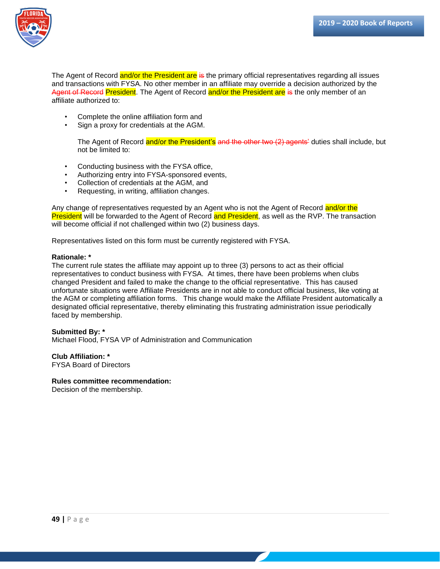

The Agent of Record and/or the President are is the primary official representatives regarding all issues and transactions with FYSA. No other member in an affiliate may override a decision authorized by the Agent of Record President. The Agent of Record and/or the President are is the only member of an affiliate authorized to:

- Complete the online affiliation form and
- Sign a proxy for credentials at the AGM.

The Agent of Record and/or the President's and the other two (2) agents' duties shall include, but not be limited to:

- Conducting business with the FYSA office,
- Authorizing entry into FYSA-sponsored events,
- Collection of credentials at the AGM, and
- Requesting, in writing, affiliation changes.

Any change of representatives requested by an Agent who is not the Agent of Record and/or the President will be forwarded to the Agent of Record and President, as well as the RVP. The transaction will become official if not challenged within two (2) business days.

Representatives listed on this form must be currently registered with FYSA.

#### **Rationale: \***

The current rule states the affiliate may appoint up to three (3) persons to act as their official representatives to conduct business with FYSA. At times, there have been problems when clubs changed President and failed to make the change to the official representative. This has caused unfortunate situations were Affiliate Presidents are in not able to conduct official business, like voting at the AGM or completing affiliation forms. This change would make the Affiliate President automatically a designated official representative, thereby eliminating this frustrating administration issue periodically faced by membership.

#### **Submitted By: \***

Michael Flood, FYSA VP of Administration and Communication

#### **Club Affiliation: \***

FYSA Board of Directors

#### **Rules committee recommendation:**

Decision of the membership.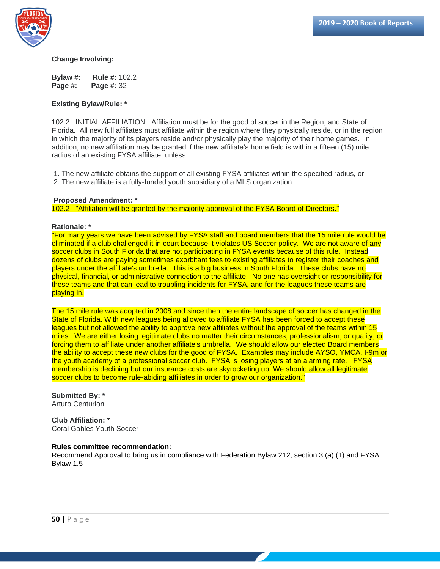



**Bylaw #: Rule #:** 102.2 **Page #: Page #:** 32

#### **Existing Bylaw/Rule: \***

102.2 INITIAL AFFILIATION Affiliation must be for the good of soccer in the Region, and State of Florida. All new full affiliates must affiliate within the region where they physically reside, or in the region in which the majority of its players reside and/or physically play the majority of their home games. In addition, no new affiliation may be granted if the new affiliate's home field is within a fifteen (15) mile radius of an existing FYSA affiliate, unless

1. The new affiliate obtains the support of all existing FYSA affiliates within the specified radius, or 2. The new affiliate is a fully-funded youth subsidiary of a MLS organization

#### **Proposed Amendment: \***

102.2 "Affiliation will be granted by the majority approval of the FYSA Board of Directors."

#### **Rationale: \***

"For many years we have been advised by FYSA staff and board members that the 15 mile rule would be eliminated if a club challenged it in court because it violates US Soccer policy. We are not aware of any soccer clubs in South Florida that are not participating in FYSA events because of this rule. Instead dozens of clubs are paying sometimes exorbitant fees to existing affiliates to register their coaches and players under the affiliate's umbrella. This is a big business in South Florida. These clubs have no physical, financial, or administrative connection to the affiliate. No one has oversight or responsibility for these teams and that can lead to troubling incidents for FYSA, and for the leagues these teams are playing in.

The 15 mile rule was adopted in 2008 and since then the entire landscape of soccer has changed in the State of Florida. With new leagues being allowed to affiliate FYSA has been forced to accept these leagues but not allowed the ability to approve new affiliates without the approval of the teams within 15 miles. We are either losing legitimate clubs no matter their circumstances, professionalism, or quality, or forcing them to affiliate under another affiliate's umbrella. We should allow our elected Board members the ability to accept these new clubs for the good of FYSA. Examples may include AYSO, YMCA, I-9m or the youth academy of a professional soccer club. FYSA is losing players at an alarming rate. FYSA membership is declining but our insurance costs are skyrocketing up. We should allow all legitimate soccer clubs to become rule-abiding affiliates in order to grow our organization."

#### **Submitted By: \***  Arturo Centurion

**Club Affiliation: \***  Coral Gables Youth Soccer

#### **Rules committee recommendation:**

Recommend Approval to bring us in compliance with Federation Bylaw 212, section 3 (a) (1) and FYSA Bylaw 1.5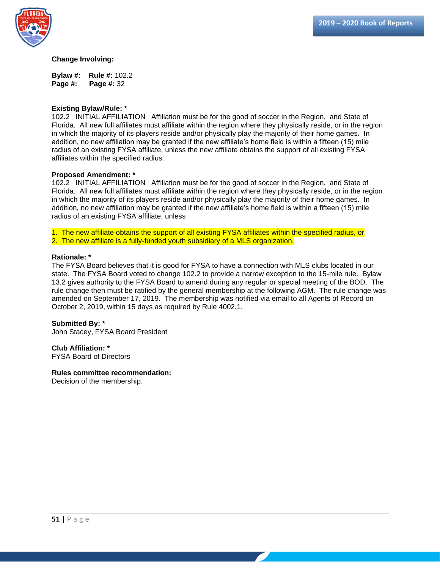

**Bylaw #: Rule #:** 102.2 **Page #: Page #:** 32

#### **Existing Bylaw/Rule: \***

102.2 INITIAL AFFILIATION Affiliation must be for the good of soccer in the Region, and State of Florida. All new full affiliates must affiliate within the region where they physically reside, or in the region in which the majority of its players reside and/or physically play the majority of their home games. In addition, no new affiliation may be granted if the new affiliate's home field is within a fifteen (15) mile radius of an existing FYSA affiliate, unless the new affiliate obtains the support of all existing FYSA affiliates within the specified radius.

#### **Proposed Amendment: \***

102.2 INITIAL AFFILIATION Affiliation must be for the good of soccer in the Region, and State of Florida. All new full affiliates must affiliate within the region where they physically reside, or in the region in which the majority of its players reside and/or physically play the majority of their home games. In addition, no new affiliation may be granted if the new affiliate's home field is within a fifteen (15) mile radius of an existing FYSA affiliate, unless

1. The new affiliate obtains the support of all existing FYSA affiliates within the specified radius, or 2. The new affiliate is a fully-funded youth subsidiary of a MLS organization.

#### **Rationale: \***

The FYSA Board believes that it is good for FYSA to have a connection with MLS clubs located in our state. The FYSA Board voted to change 102.2 to provide a narrow exception to the 15-mile rule. Bylaw 13.2 gives authority to the FYSA Board to amend during any regular or special meeting of the BOD. The rule change then must be ratified by the general membership at the following AGM. The rule change was amended on September 17, 2019. The membership was notified via email to all Agents of Record on October 2, 2019, within 15 days as required by Rule 4002.1.

#### **Submitted By: \***

John Stacey, FYSA Board President

#### **Club Affiliation: \***

FYSA Board of Directors

#### **Rules committee recommendation:**

Decision of the membership.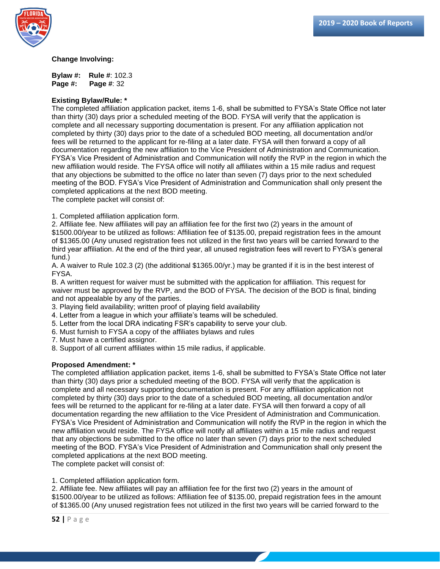

**Bylaw #: Rule #**: 102.3 **Page #: Page #**: 32

#### **Existing Bylaw/Rule: \***

The completed affiliation application packet, items 1-6, shall be submitted to FYSA's State Office not later than thirty (30) days prior a scheduled meeting of the BOD. FYSA will verify that the application is complete and all necessary supporting documentation is present. For any affiliation application not completed by thirty (30) days prior to the date of a scheduled BOD meeting, all documentation and/or fees will be returned to the applicant for re-filing at a later date. FYSA will then forward a copy of all documentation regarding the new affiliation to the Vice President of Administration and Communication. FYSA's Vice President of Administration and Communication will notify the RVP in the region in which the new affiliation would reside. The FYSA office will notify all affiliates within a 15 mile radius and request that any objections be submitted to the office no later than seven (7) days prior to the next scheduled meeting of the BOD. FYSA's Vice President of Administration and Communication shall only present the completed applications at the next BOD meeting.

The complete packet will consist of:

1. Completed affiliation application form.

2. Affiliate fee. New affiliates will pay an affiliation fee for the first two (2) years in the amount of \$1500.00/year to be utilized as follows: Affiliation fee of \$135.00, prepaid registration fees in the amount of \$1365.00 (Any unused registration fees not utilized in the first two years will be carried forward to the third year affiliation. At the end of the third year, all unused registration fees will revert to FYSA's general fund.)

A. A waiver to Rule 102.3 (2) (the additional \$1365.00/yr.) may be granted if it is in the best interest of FYSA.

B. A written request for waiver must be submitted with the application for affiliation. This request for waiver must be approved by the RVP, and the BOD of FYSA. The decision of the BOD is final, binding and not appealable by any of the parties.

- 3. Playing field availability; written proof of playing field availability
- 4. Letter from a league in which your affiliate's teams will be scheduled.
- 5. Letter from the local DRA indicating FSR's capability to serve your club.
- 6. Must furnish to FYSA a copy of the affiliates bylaws and rules

7. Must have a certified assignor.

8. Support of all current affiliates within 15 mile radius, if applicable.

#### **Proposed Amendment: \***

The completed affiliation application packet, items 1-6, shall be submitted to FYSA's State Office not later than thirty (30) days prior a scheduled meeting of the BOD. FYSA will verify that the application is complete and all necessary supporting documentation is present. For any affiliation application not completed by thirty (30) days prior to the date of a scheduled BOD meeting, all documentation and/or fees will be returned to the applicant for re-filing at a later date. FYSA will then forward a copy of all documentation regarding the new affiliation to the Vice President of Administration and Communication. FYSA's Vice President of Administration and Communication will notify the RVP in the region in which the new affiliation would reside. The FYSA office will notify all affiliates within a 15 mile radius and request that any objections be submitted to the office no later than seven (7) days prior to the next scheduled meeting of the BOD. FYSA's Vice President of Administration and Communication shall only present the completed applications at the next BOD meeting.

The complete packet will consist of:

1. Completed affiliation application form.

2. Affiliate fee. New affiliates will pay an affiliation fee for the first two (2) years in the amount of \$1500.00/year to be utilized as follows: Affiliation fee of \$135.00, prepaid registration fees in the amount of \$1365.00 (Any unused registration fees not utilized in the first two years will be carried forward to the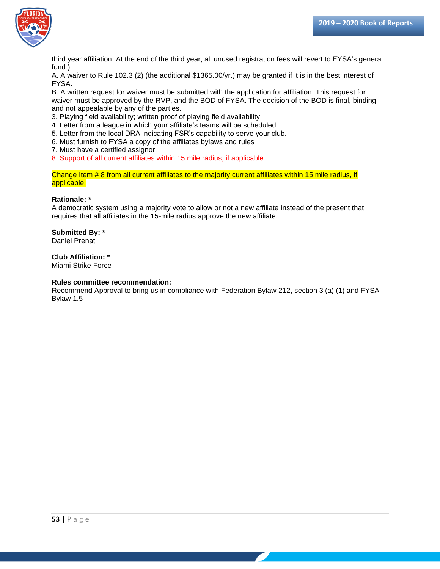

third year affiliation. At the end of the third year, all unused registration fees will revert to FYSA's general fund.)

A. A waiver to Rule 102.3 (2) (the additional \$1365.00/yr.) may be granted if it is in the best interest of FYSA.

B. A written request for waiver must be submitted with the application for affiliation. This request for waiver must be approved by the RVP, and the BOD of FYSA. The decision of the BOD is final, binding and not appealable by any of the parties.

3. Playing field availability; written proof of playing field availability

4. Letter from a league in which your affiliate's teams will be scheduled.

5. Letter from the local DRA indicating FSR's capability to serve your club.

6. Must furnish to FYSA a copy of the affiliates bylaws and rules

7. Must have a certified assignor.

8. Support of all current affiliates within 15 mile radius, if applicable.

Change Item # 8 from all current affiliates to the majority current affiliates within 15 mile radius, if applicable.

#### **Rationale: \***

A democratic system using a majority vote to allow or not a new affiliate instead of the present that requires that all affiliates in the 15-mile radius approve the new affiliate.

#### **Submitted By: \***

Daniel Prenat

#### **Club Affiliation: \***

Miami Strike Force

#### **Rules committee recommendation:**

Recommend Approval to bring us in compliance with Federation Bylaw 212, section 3 (a) (1) and FYSA Bylaw 1.5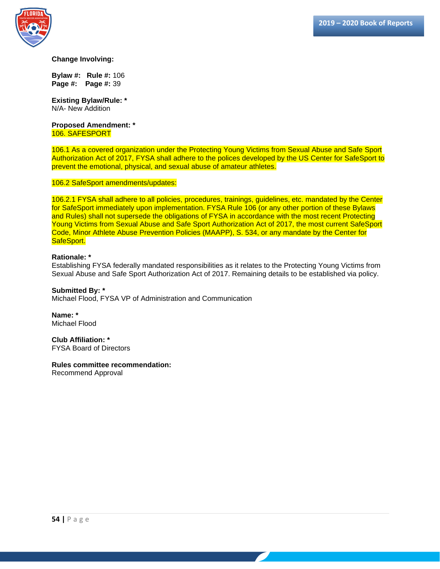

**Bylaw #: Rule #:** 106 **Page #: Page #:** 39

**Existing Bylaw/Rule: \*** N/A- New Addition

**Proposed Amendment: \*** 106. SAFESPORT

106.1 As a covered organization under the Protecting Young Victims from Sexual Abuse and Safe Sport Authorization Act of 2017, FYSA shall adhere to the polices developed by the US Center for SafeSport to prevent the emotional, physical, and sexual abuse of amateur athletes.

#### 106.2 SafeSport amendments/updates:

106.2.1 FYSA shall adhere to all policies, procedures, trainings, guidelines, etc. mandated by the Center for SafeSport immediately upon implementation. FYSA Rule 106 (or any other portion of these Bylaws and Rules) shall not supersede the obligations of FYSA in accordance with the most recent Protecting Young Victims from Sexual Abuse and Safe Sport Authorization Act of 2017, the most current SafeSport Code, Minor Athlete Abuse Prevention Policies (MAAPP), S. 534, or any mandate by the Center for SafeSport.

#### **Rationale: \***

Establishing FYSA federally mandated responsibilities as it relates to the Protecting Young Victims from Sexual Abuse and Safe Sport Authorization Act of 2017. Remaining details to be established via policy.

**Submitted By: \*** Michael Flood, FYSA VP of Administration and Communication

**Name: \*** Michael Flood

**Club Affiliation: \*** FYSA Board of Directors

#### **Rules committee recommendation:**

Recommend Approval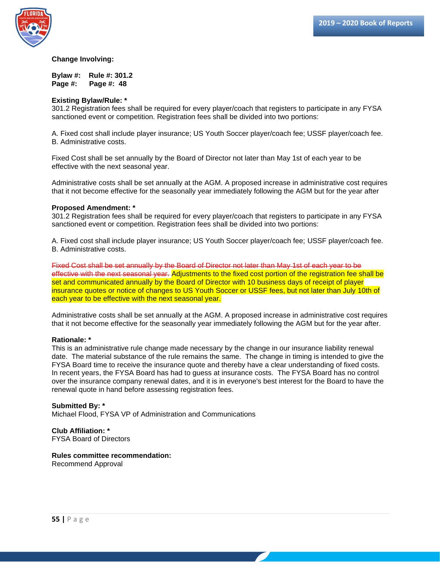

**Bylaw #: Rule #: 301.2 Page #: Page #: 48** 

#### **Existing Bylaw/Rule: \***

301.2 Registration fees shall be required for every player/coach that registers to participate in any FYSA sanctioned event or competition. Registration fees shall be divided into two portions:

A. Fixed cost shall include player insurance; US Youth Soccer player/coach fee; USSF player/coach fee. B. Administrative costs.

Fixed Cost shall be set annually by the Board of Director not later than May 1st of each year to be effective with the next seasonal year.

Administrative costs shall be set annually at the AGM. A proposed increase in administrative cost requires that it not become effective for the seasonally year immediately following the AGM but for the year after

#### **Proposed Amendment: \***

301.2 Registration fees shall be required for every player/coach that registers to participate in any FYSA sanctioned event or competition. Registration fees shall be divided into two portions:

A. Fixed cost shall include player insurance; US Youth Soccer player/coach fee; USSF player/coach fee. B. Administrative costs.

Fixed Cost shall be set annually by the Board of Director not later than May 1st of each year to be effective with the next seasonal year. Adjustments to the fixed cost portion of the registration fee shall be set and communicated annually by the Board of Director with 10 business days of receipt of player insurance quotes or notice of changes to US Youth Soccer or USSF fees, but not later than July 10th of each year to be effective with the next seasonal year.

Administrative costs shall be set annually at the AGM. A proposed increase in administrative cost requires that it not become effective for the seasonally year immediately following the AGM but for the year after.

#### **Rationale: \***

This is an administrative rule change made necessary by the change in our insurance liability renewal date. The material substance of the rule remains the same. The change in timing is intended to give the FYSA Board time to receive the insurance quote and thereby have a clear understanding of fixed costs. In recent years, the FYSA Board has had to guess at insurance costs. The FYSA Board has no control over the insurance company renewal dates, and it is in everyone's best interest for the Board to have the renewal quote in hand before assessing registration fees.

#### **Submitted By: \***

Michael Flood, FYSA VP of Administration and Communications

**Club Affiliation: \*** FYSA Board of Directors

#### **Rules committee recommendation:**

Recommend Approval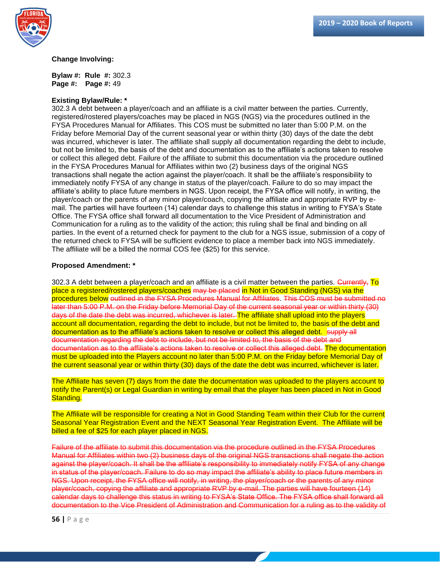

**Bylaw #: Rule #:** 302.3 **Page #: Page #:** 49

#### **Existing Bylaw/Rule: \***

302.3 A debt between a player/coach and an affiliate is a civil matter between the parties. Currently, registered/rostered players/coaches may be placed in NGS (NGS) via the procedures outlined in the FYSA Procedures Manual for Affiliates. This COS must be submitted no later than 5:00 P.M. on the Friday before Memorial Day of the current seasonal year or within thirty (30) days of the date the debt was incurred, whichever is later. The affiliate shall supply all documentation regarding the debt to include, but not be limited to, the basis of the debt and documentation as to the affiliate's actions taken to resolve or collect this alleged debt. Failure of the affiliate to submit this documentation via the procedure outlined in the FYSA Procedures Manual for Affiliates within two (2) business days of the original NGS transactions shall negate the action against the player/coach. It shall be the affiliate's responsibility to immediately notify FYSA of any change in status of the player/coach. Failure to do so may impact the affiliate's ability to place future members in NGS. Upon receipt, the FYSA office will notify, in writing, the player/coach or the parents of any minor player/coach, copying the affiliate and appropriate RVP by email. The parties will have fourteen (14) calendar days to challenge this status in writing to FYSA's State Office. The FYSA office shall forward all documentation to the Vice President of Administration and Communication for a ruling as to the validity of the action; this ruling shall be final and binding on all parties. In the event of a returned check for payment to the club for a NGS issue, submission of a copy of the returned check to FYSA will be sufficient evidence to place a member back into NGS immediately. The affiliate will be a billed the normal COS fee (\$25) for this service.

#### **Proposed Amendment: \***

302.3 A debt between a player/coach and an affiliate is a civil matter between the parties. Currently, To place a registered/rostered players/coaches may be placed in Not in Good Standing (NGS) via the procedures below outlined in the FYSA Procedures Manual for Affiliates. This COS must be submitted no later than 5:00 P.M. on the Friday before Memorial Day of the current seasonal year or within thirty (30) days of the date the debt was incurred, whichever is later. The affiliate shall upload into the players account all documentation, regarding the debt to include, but not be limited to, the basis of the debt and documentation as to the affiliate's actions taken to resolve or collect this alleged debt. Supply all documentation regarding the debt to include, but not be limited to, the basis of the debt and documentation as to the affiliate's actions taken to resolve or collect this alleged debt. The documentation must be uploaded into the Players account no later than 5:00 P.M. on the Friday before Memorial Day of the current seasonal year or within thirty (30) days of the date the debt was incurred, whichever is later.

The Affiliate has seven (7) days from the date the documentation was uploaded to the players account to notify the Parent(s) or Legal Guardian in writing by email that the player has been placed in Not in Good Standing.

The Affiliate will be responsible for creating a Not in Good Standing Team within their Club for the current Seasonal Year Registration Event and the NEXT Seasonal Year Registration Event. The Affiliate will be billed a fee of \$25 for each player placed in NGS.

Failure of the affiliate to submit this documentation via the procedure outlined in the FYSA Procedures Manual for Affiliates within two (2) business days of the original NGS transactions shall negate the action against the player/coach. It shall be the affiliate's responsibility to immediately notify FYSA of any change in status of the player/coach. Failure to do so may impact the affiliate's ability to place future members in NGS. Upon receipt, the FYSA office will notify, in writing, the player/coach or the parents of any minor player/coach, copying the affiliate and appropriate RVP by e-mail. The parties will have fourteen (14) calendar days to challenge this status in writing to FYSA's State Office. The FYSA office shall forward all documentation to the Vice President of Administration and Communication for a ruling as to the validity of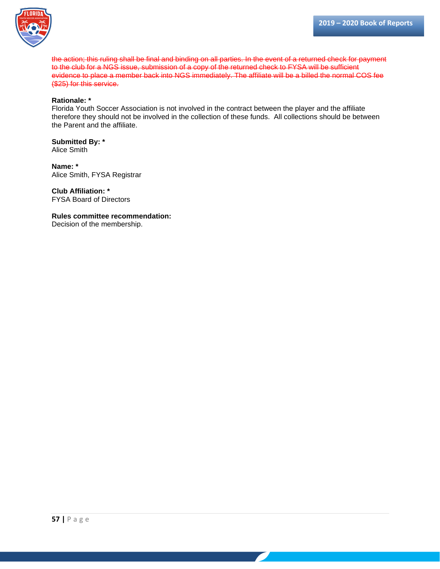

the action; this ruling shall be final and binding on all parties. In the event of a returned check for payment to the club for a NGS issue, submission of a copy of the returned check to FYSA will be sufficient evidence to place a member back into NGS immediately. The affiliate will be a billed the normal COS fee (\$25) for this service.

#### **Rationale: \***

Florida Youth Soccer Association is not involved in the contract between the player and the affiliate therefore they should not be involved in the collection of these funds. All collections should be between the Parent and the affiliate.

**Submitted By: \*** Alice Smith

**Name: \*** Alice Smith, FYSA Registrar

**Club Affiliation: \*** FYSA Board of Directors

**Rules committee recommendation:** Decision of the membership.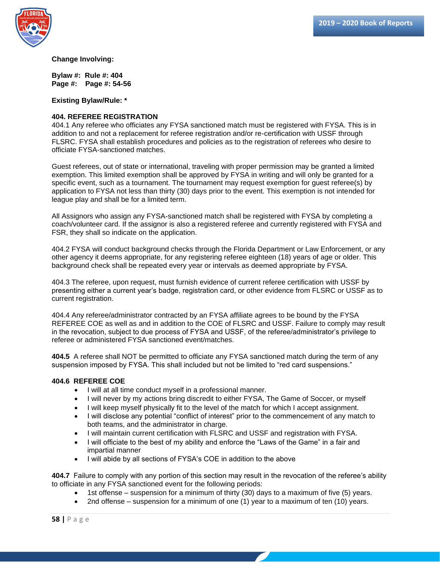

**Bylaw #: Rule #: 404 Page #: Page #: 54-56**

**Existing Bylaw/Rule: \***

#### **404. REFEREE REGISTRATION**

404.1 Any referee who officiates any FYSA sanctioned match must be registered with FYSA. This is in addition to and not a replacement for referee registration and/or re-certification with USSF through FLSRC. FYSA shall establish procedures and policies as to the registration of referees who desire to officiate FYSA-sanctioned matches.

Guest referees, out of state or international, traveling with proper permission may be granted a limited exemption. This limited exemption shall be approved by FYSA in writing and will only be granted for a specific event, such as a tournament. The tournament may request exemption for guest referee(s) by application to FYSA not less than thirty (30) days prior to the event. This exemption is not intended for league play and shall be for a limited term.

All Assignors who assign any FYSA-sanctioned match shall be registered with FYSA by completing a coach/volunteer card. If the assignor is also a registered referee and currently registered with FYSA and FSR, they shall so indicate on the application.

404.2 FYSA will conduct background checks through the Florida Department or Law Enforcement, or any other agency it deems appropriate, for any registering referee eighteen (18) years of age or older. This background check shall be repeated every year or intervals as deemed appropriate by FYSA.

404.3 The referee, upon request, must furnish evidence of current referee certification with USSF by presenting either a current year's badge, registration card, or other evidence from FLSRC or USSF as to current registration.

404.4 Any referee/administrator contracted by an FYSA affiliate agrees to be bound by the FYSA REFEREE COE as well as and in addition to the COE of FLSRC and USSF. Failure to comply may result in the revocation, subject to due process of FYSA and USSF, of the referee/administrator's privilege to referee or administered FYSA sanctioned event/matches.

**404.5** A referee shall NOT be permitted to officiate any FYSA sanctioned match during the term of any suspension imposed by FYSA. This shall included but not be limited to "red card suspensions."

#### **404.6 REFEREE COE**

- I will at all time conduct myself in a professional manner.
- I will never by my actions bring discredit to either FYSA, The Game of Soccer, or myself
- I will keep myself physically fit to the level of the match for which I accept assignment.
- I will disclose any potential "conflict of interest" prior to the commencement of any match to both teams, and the administrator in charge.
- I will maintain current certification with FLSRC and USSF and registration with FYSA.
- I will officiate to the best of my ability and enforce the "Laws of the Game" in a fair and impartial manner
- I will abide by all sections of FYSA's COE in addition to the above

**404.7** Failure to comply with any portion of this section may result in the revocation of the referee's ability to officiate in any FYSA sanctioned event for the following periods:

- 1st offense suspension for a minimum of thirty (30) days to a maximum of five (5) years.
- 2nd offense suspension for a minimum of one (1) year to a maximum of ten (10) years.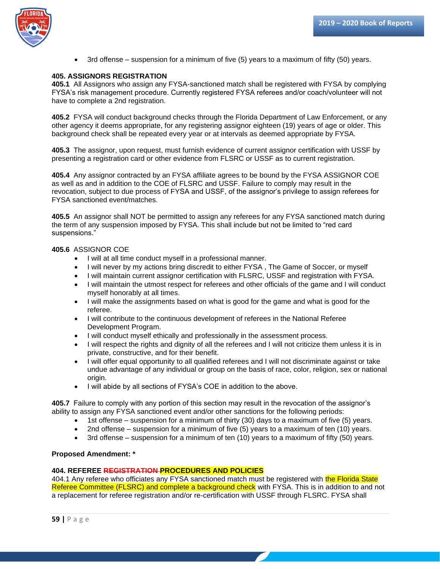

• 3rd offense – suspension for a minimum of five (5) years to a maximum of fifty (50) years.

#### **405. ASSIGNORS REGISTRATION**

**405.1** All Assignors who assign any FYSA-sanctioned match shall be registered with FYSA by complying FYSA's risk management procedure. Currently registered FYSA referees and/or coach/volunteer will not have to complete a 2nd registration.

**405.2** FYSA will conduct background checks through the Florida Department of Law Enforcement, or any other agency it deems appropriate, for any registering assignor eighteen (19) years of age or older. This background check shall be repeated every year or at intervals as deemed appropriate by FYSA.

**405.3** The assignor, upon request, must furnish evidence of current assignor certification with USSF by presenting a registration card or other evidence from FLSRC or USSF as to current registration.

**405.4** Any assignor contracted by an FYSA affiliate agrees to be bound by the FYSA ASSIGNOR COE as well as and in addition to the COE of FLSRC and USSF. Failure to comply may result in the revocation, subject to due process of FYSA and USSF, of the assignor's privilege to assign referees for FYSA sanctioned event/matches.

**405.5** An assignor shall NOT be permitted to assign any referees for any FYSA sanctioned match during the term of any suspension imposed by FYSA. This shall include but not be limited to "red card suspensions."

#### **405.6** ASSIGNOR COE

- I will at all time conduct myself in a professional manner.
- I will never by my actions bring discredit to either FYSA, The Game of Soccer, or myself
- I will maintain current assignor certification with FLSRC, USSF and registration with FYSA.
- I will maintain the utmost respect for referees and other officials of the game and I will conduct myself honorably at all times.
- I will make the assignments based on what is good for the game and what is good for the referee.
- I will contribute to the continuous development of referees in the National Referee Development Program.
- I will conduct myself ethically and professionally in the assessment process.
- I will respect the rights and dignity of all the referees and I will not criticize them unless it is in private, constructive, and for their benefit.
- I will offer equal opportunity to all qualified referees and I will not discriminate against or take undue advantage of any individual or group on the basis of race, color, religion, sex or national origin.
- I will abide by all sections of FYSA's COE in addition to the above.

**405.7** Failure to comply with any portion of this section may result in the revocation of the assignor's ability to assign any FYSA sanctioned event and/or other sanctions for the following periods:

- 1st offense suspension for a minimum of thirty (30) days to a maximum of five (5) years.
- 2nd offense suspension for a minimum of five (5) years to a maximum of ten (10) years.
- 3rd offense suspension for a minimum of ten (10) years to a maximum of fifty (50) years.

#### **Proposed Amendment: \***

#### **404. REFEREE REGISTRATION PROCEDURES AND POLICIES**

404.1 Any referee who officiates any FYSA sanctioned match must be registered with the Florida State Referee Committee (FLSRC) and complete a background check with FYSA. This is in addition to and not a replacement for referee registration and/or re-certification with USSF through FLSRC. FYSA shall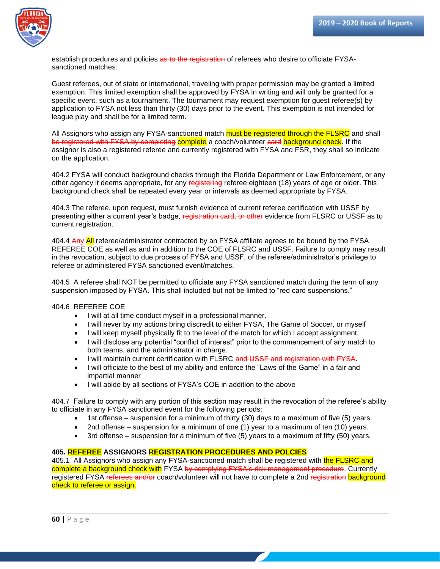

establish procedures and policies as to the registration of referees who desire to officiate FYSAsanctioned matches.

Guest referees, out of state or international, traveling with proper permission may be granted a limited exemption. This limited exemption shall be approved by FYSA in writing and will only be granted for a specific event, such as a tournament. The tournament may request exemption for quest referee(s) by application to FYSA not less than thirty (30) days prior to the event. This exemption is not intended for league play and shall be for a limited term.

All Assignors who assign any FYSA-sanctioned match **must be registered through the FLSRC** and shall be registered with FYSA by completing complete a coach/volunteer card background check. If the assignor is also a registered referee and currently registered with FYSA and FSR, they shall so indicate on the application.

404.2 FYSA will conduct background checks through the Florida Department or Law Enforcement, or any other agency it deems appropriate, for any registering referee eighteen (18) years of age or older. This background check shall be repeated every year or intervals as deemed appropriate by FYSA.

404.3 The referee, upon request, must furnish evidence of current referee certification with USSF by presenting either a current year's badge, registration card, or other evidence from FLSRC or USSF as to current registration.

404.4 Any All referee/administrator contracted by an FYSA affiliate agrees to be bound by the FYSA REFEREE COE as well as and in addition to the COE of FLSRC and USSF. Failure to comply may result in the revocation, subject to due process of FYSA and USSF, of the referee/administrator's privilege to referee or administered FYSA sanctioned event/matches.

404.5 A referee shall NOT be permitted to officiate any FYSA sanctioned match during the term of any suspension imposed by FYSA. This shall included but not be limited to "red card suspensions."

404.6 REFEREE COE

- I will at all time conduct myself in a professional manner.
- I will never by my actions bring discredit to either FYSA, The Game of Soccer, or myself
- I will keep myself physically fit to the level of the match for which I accept assignment.
- I will disclose any potential "conflict of interest" prior to the commencement of any match to both teams, and the administrator in charge.
- I will maintain current certification with FLSRC and USSF and registration with FYSA.
- I will officiate to the best of my ability and enforce the "Laws of the Game" in a fair and impartial manner
- I will abide by all sections of FYSA's COE in addition to the above

404.7 Failure to comply with any portion of this section may result in the revocation of the referee's ability to officiate in any FYSA sanctioned event for the following periods:

- 1st offense suspension for a minimum of thirty (30) days to a maximum of five (5) years.
- 2nd offense suspension for a minimum of one (1) year to a maximum of ten (10) years.
- 3rd offense suspension for a minimum of five (5) years to a maximum of fifty (50) years.

#### **405. REFEREE ASSIGNORS REGISTRATION PROCEDURES AND POLCIES**

405.1 All Assignors who assign any FYSA-sanctioned match shall be registered with the FLSRC and complete a background check with FYSA by complying FYSA's risk management procedure. Currently registered FYSA referees and/or coach/volunteer will not have to complete a 2nd registration background check to referee or assign.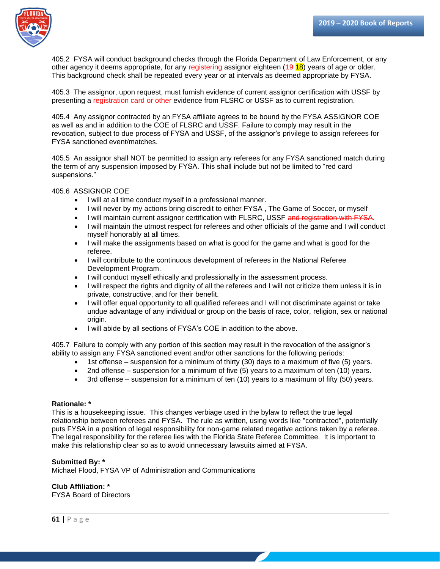

405.2 FYSA will conduct background checks through the Florida Department of Law Enforcement, or any other agency it deems appropriate, for any registering assignor eighteen (49-18) years of age or older. This background check shall be repeated every year or at intervals as deemed appropriate by FYSA.

405.3 The assignor, upon request, must furnish evidence of current assignor certification with USSF by presenting a registration card or other evidence from FLSRC or USSF as to current registration.

405.4 Any assignor contracted by an FYSA affiliate agrees to be bound by the FYSA ASSIGNOR COE as well as and in addition to the COE of FLSRC and USSF. Failure to comply may result in the revocation, subject to due process of FYSA and USSF, of the assignor's privilege to assign referees for FYSA sanctioned event/matches.

405.5 An assignor shall NOT be permitted to assign any referees for any FYSA sanctioned match during the term of any suspension imposed by FYSA. This shall include but not be limited to "red card suspensions."

405.6 ASSIGNOR COE

- I will at all time conduct myself in a professional manner.
- I will never by my actions bring discredit to either FYSA , The Game of Soccer, or myself
- I will maintain current assignor certification with FLSRC, USSF and registration with FYSA.
- I will maintain the utmost respect for referees and other officials of the game and I will conduct myself honorably at all times.
- I will make the assignments based on what is good for the game and what is good for the referee.
- I will contribute to the continuous development of referees in the National Referee Development Program.
- I will conduct myself ethically and professionally in the assessment process.
- I will respect the rights and dignity of all the referees and I will not criticize them unless it is in private, constructive, and for their benefit.
- I will offer equal opportunity to all qualified referees and I will not discriminate against or take undue advantage of any individual or group on the basis of race, color, religion, sex or national origin.
- I will abide by all sections of FYSA's COE in addition to the above.

405.7 Failure to comply with any portion of this section may result in the revocation of the assignor's ability to assign any FYSA sanctioned event and/or other sanctions for the following periods:

- 1st offense suspension for a minimum of thirty (30) days to a maximum of five (5) years.
- 2nd offense suspension for a minimum of five (5) years to a maximum of ten (10) years.
- 3rd offense suspension for a minimum of ten (10) years to a maximum of fifty (50) years.

#### **Rationale: \***

This is a housekeeping issue. This changes verbiage used in the bylaw to reflect the true legal relationship between referees and FYSA. The rule as written, using words like "contracted", potentially puts FYSA in a position of legal responsibility for non-game related negative actions taken by a referee. The legal responsibility for the referee lies with the Florida State Referee Committee. It is important to make this relationship clear so as to avoid unnecessary lawsuits aimed at FYSA.

#### **Submitted By: \***

Michael Flood, FYSA VP of Administration and Communications

#### **Club Affiliation: \***

FYSA Board of Directors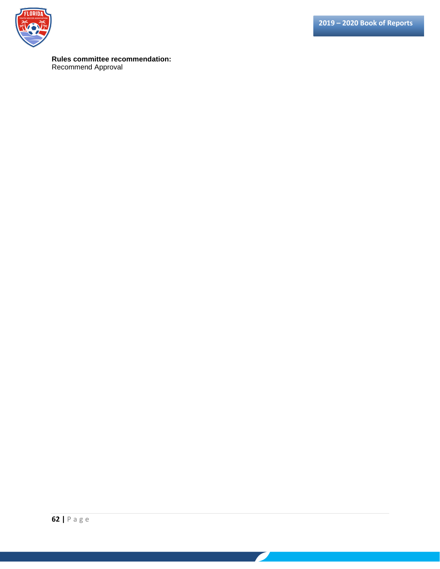

### **Rules committee recommendation:**

Recommend Approval

<u> a shekara ta 1980 ha</u>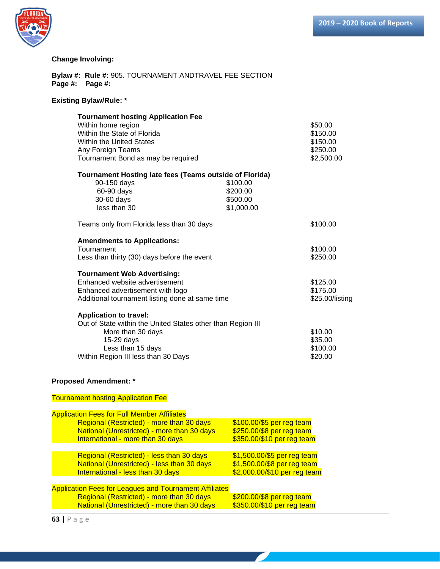

**Bylaw #: Rule #:** 905. TOURNAMENT ANDTRAVEL FEE SECTION **Page #: Page #:** 

#### **Existing Bylaw/Rule: \***

| <b>Tournament hosting Application Fee</b><br>Within home region<br>Within the State of Florida<br><b>Within the United States</b> |                 | \$50.00<br>\$150.00<br>\$150.00 |
|-----------------------------------------------------------------------------------------------------------------------------------|-----------------|---------------------------------|
| Any Foreign Teams                                                                                                                 |                 | \$250.00                        |
| Tournament Bond as may be required                                                                                                | \$2,500.00      |                                 |
| Tournament Hosting late fees (Teams outside of Florida)                                                                           |                 |                                 |
| 90-150 days                                                                                                                       | \$100.00        |                                 |
| 60-90 days                                                                                                                        | \$200.00        |                                 |
| 30-60 days                                                                                                                        | \$500.00        |                                 |
| less than 30                                                                                                                      | \$1,000.00      |                                 |
| Teams only from Florida less than 30 days                                                                                         | \$100.00        |                                 |
| <b>Amendments to Applications:</b>                                                                                                |                 |                                 |
| Tournament                                                                                                                        |                 | \$100.00                        |
| Less than thirty (30) days before the event                                                                                       | \$250.00        |                                 |
| <b>Tournament Web Advertising:</b>                                                                                                |                 |                                 |
| Enhanced website advertisement                                                                                                    |                 | \$125.00                        |
| Enhanced advertisement with logo                                                                                                  |                 | \$175.00                        |
| Additional tournament listing done at same time                                                                                   | \$25.00/listing |                                 |
| <b>Application to travel:</b>                                                                                                     |                 |                                 |
| Out of State within the United States other than Region III                                                                       |                 |                                 |
| More than 30 days                                                                                                                 |                 | \$10.00                         |
| 15-29 days                                                                                                                        |                 | \$35.00                         |
| Less than 15 days                                                                                                                 |                 | \$100.00                        |
| Within Region III less than 30 Days                                                                                               | \$20.00         |                                 |

#### **Proposed Amendment: \***

Tournament hosting Application Fee Application Fees for Full Member Affiliates Regional (Restricted) - more than 30 days \$100.00/\$5 per reg team National (Unrestricted) - more than 30 days \$250.00/\$8 per reg team<br>International - more than 30 days \$350.00/\$10 per reg team International - more than 30 days Regional (Restricted) - less than 30 days \$1,500.00/\$5 per reg team National (Unrestricted) - less than 30 days \$1,500.00/\$8 per reg team International - less than 30 days \$2,000.00/\$10 per reg team Application Fees for Leagues and Tournament Affiliates Regional (Restricted) - more than 30 days \$200.00/\$8 per reg team National (Unrestricted) - more than 30 days \$350.00/\$10 per reg team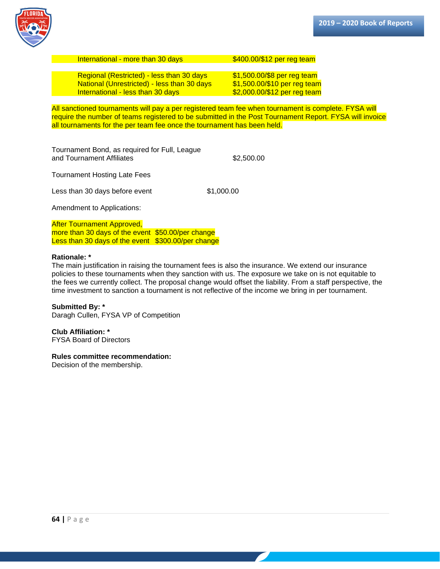

| International - more than 30 days           | \$400.00/\$12 per reg team    |
|---------------------------------------------|-------------------------------|
| Regional (Restricted) - less than 30 days   | $$1,500.00$ /\$8 per reg team |
| National (Unrestricted) - less than 30 days | \$1,500.00/\$10 per reg team  |

International - less than 30 days  $$2,000.00$ /\$12 per reg team

All sanctioned tournaments will pay a per registered team fee when tournament is complete. FYSA will require the number of teams registered to be submitted in the Post Tournament Report. FYSA will invoice all tournaments for the per team fee once the tournament has been held.

Tournament Bond, as required for Full, League and Tournament Affiliates **\$2,500.00** 

Tournament Hosting Late Fees

Less than 30 days before event \$1,000.00

Amendment to Applications:

After Tournament Approved, more than 30 days of the event \$50.00/per change Less than 30 days of the event \$300.00/per change

#### **Rationale: \***

The main justification in raising the tournament fees is also the insurance. We extend our insurance policies to these tournaments when they sanction with us. The exposure we take on is not equitable to the fees we currently collect. The proposal change would offset the liability. From a staff perspective, the time investment to sanction a tournament is not reflective of the income we bring in per tournament.

**Submitted By: \*** Daragh Cullen, FYSA VP of Competition

**Club Affiliation: \*** FYSA Board of Directors

#### **Rules committee recommendation:**

Decision of the membership.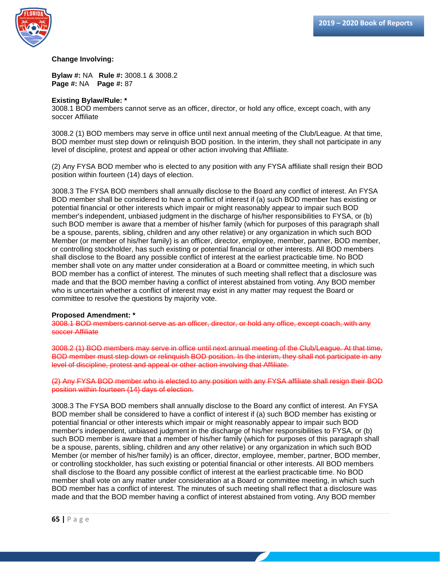

**Bylaw #:** NA **Rule #:** 3008.1 & 3008.2 **Page #:** NA **Page #:** 87

#### **Existing Bylaw/Rule: \***

3008.1 BOD members cannot serve as an officer, director, or hold any office, except coach, with any soccer Affiliate

3008.2 (1) BOD members may serve in office until next annual meeting of the Club/League. At that time, BOD member must step down or relinquish BOD position. In the interim, they shall not participate in any level of discipline, protest and appeal or other action involving that Affiliate.

(2) Any FYSA BOD member who is elected to any position with any FYSA affiliate shall resign their BOD position within fourteen (14) days of election.

3008.3 The FYSA BOD members shall annually disclose to the Board any conflict of interest. An FYSA BOD member shall be considered to have a conflict of interest if (a) such BOD member has existing or potential financial or other interests which impair or might reasonably appear to impair such BOD member's independent, unbiased judgment in the discharge of his/her responsibilities to FYSA, or (b) such BOD member is aware that a member of his/her family (which for purposes of this paragraph shall be a spouse, parents, sibling, children and any other relative) or any organization in which such BOD Member (or member of his/her family) is an officer, director, employee, member, partner, BOD member, or controlling stockholder, has such existing or potential financial or other interests. All BOD members shall disclose to the Board any possible conflict of interest at the earliest practicable time. No BOD member shall vote on any matter under consideration at a Board or committee meeting, in which such BOD member has a conflict of interest. The minutes of such meeting shall reflect that a disclosure was made and that the BOD member having a conflict of interest abstained from voting. Any BOD member who is uncertain whether a conflict of interest may exist in any matter may request the Board or committee to resolve the questions by majority vote.

#### **Proposed Amendment: \***

3008.1 BOD members cannot serve as an officer, director, or hold any office, except coach, with any soccer Affiliate

3008.2 (1) BOD members may serve in office until next annual meeting of the Club/League. At that time, BOD member must step down or relinquish BOD position. In the interim, they shall not participate in any level of discipline, protest and appeal or other action involving that Affiliate.

(2) Any FYSA BOD member who is elected to any position with any FYSA affiliate shall resign their BOD position within fourteen (14) days of election.

3008.3 The FYSA BOD members shall annually disclose to the Board any conflict of interest. An FYSA BOD member shall be considered to have a conflict of interest if (a) such BOD member has existing or potential financial or other interests which impair or might reasonably appear to impair such BOD member's independent, unbiased judgment in the discharge of his/her responsibilities to FYSA, or (b) such BOD member is aware that a member of his/her family (which for purposes of this paragraph shall be a spouse, parents, sibling, children and any other relative) or any organization in which such BOD Member (or member of his/her family) is an officer, director, employee, member, partner, BOD member, or controlling stockholder, has such existing or potential financial or other interests. All BOD members shall disclose to the Board any possible conflict of interest at the earliest practicable time. No BOD member shall vote on any matter under consideration at a Board or committee meeting, in which such BOD member has a conflict of interest. The minutes of such meeting shall reflect that a disclosure was made and that the BOD member having a conflict of interest abstained from voting. Any BOD member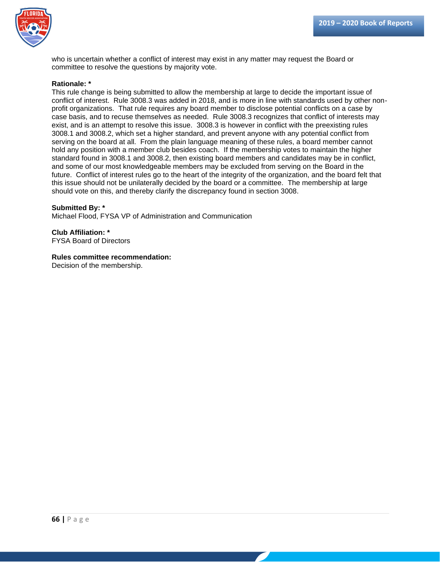

who is uncertain whether a conflict of interest may exist in any matter may request the Board or committee to resolve the questions by majority vote.

#### **Rationale: \***

This rule change is being submitted to allow the membership at large to decide the important issue of conflict of interest. Rule 3008.3 was added in 2018, and is more in line with standards used by other nonprofit organizations. That rule requires any board member to disclose potential conflicts on a case by case basis, and to recuse themselves as needed. Rule 3008.3 recognizes that conflict of interests may exist, and is an attempt to resolve this issue. 3008.3 is however in conflict with the preexisting rules 3008.1 and 3008.2, which set a higher standard, and prevent anyone with any potential conflict from serving on the board at all. From the plain language meaning of these rules, a board member cannot hold any position with a member club besides coach. If the membership votes to maintain the higher standard found in 3008.1 and 3008.2, then existing board members and candidates may be in conflict, and some of our most knowledgeable members may be excluded from serving on the Board in the future. Conflict of interest rules go to the heart of the integrity of the organization, and the board felt that this issue should not be unilaterally decided by the board or a committee. The membership at large should vote on this, and thereby clarify the discrepancy found in section 3008.

#### **Submitted By: \***

Michael Flood, FYSA VP of Administration and Communication

**Club Affiliation: \*** FYSA Board of Directors

#### **Rules committee recommendation:**

Decision of the membership.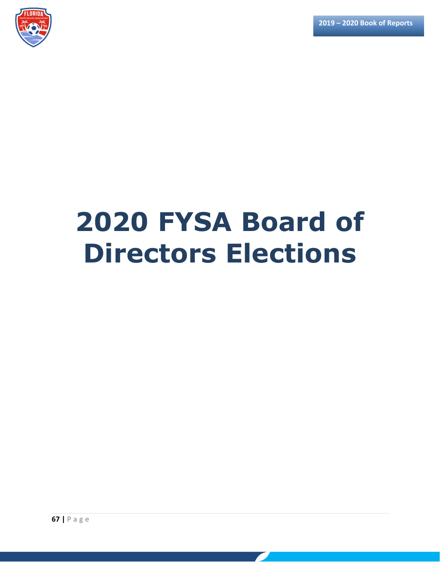

# **2020 FYSA Board of Directors Elections**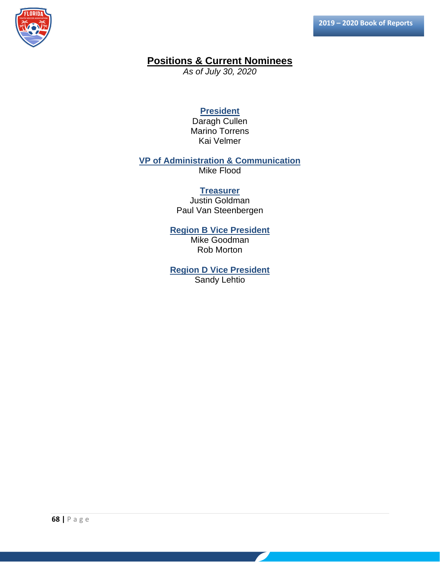

## **Positions & Current Nominees**

*As of July 30, 2020*

### **President**

Daragh Cullen Marino Torrens Kai Velmer

### **VP of Administration & Communication**

Mike Flood

#### **Treasurer**

Justin Goldman Paul Van Steenbergen

#### **Region B Vice President** Mike Goodman

Rob Morton

### **Region D Vice President Sandy Lehtio**